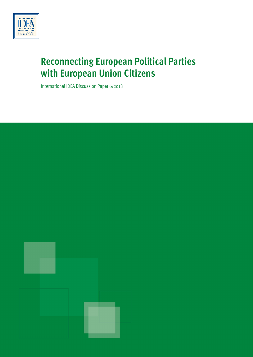

# **Reconnecting European Political Parties with European Union Citizens**

International IDEA Discussion Paper 6/2018

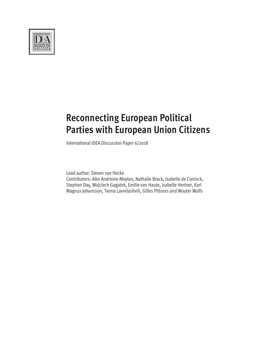

# **Reconnecting European Political Parties with European Union Citizens**

International IDEA Discussion Paper 6/2018

Lead author: Steven van Hecke

Contributors: Alex Andrione-Moylan, Nathalie Brack, Isabelle de Coninck, Stephen Day, Wojciech Gagatek, Emilie van Haute, Isabelle Hertner, Karl Magnus Johansson, Teona Lavrelashvili, Gilles Pittoors and Wouter Wolfs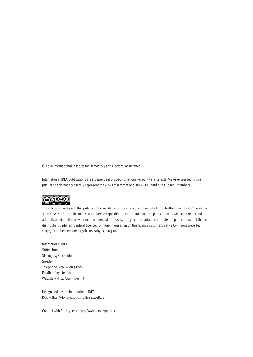© 2018 International Institute for Democracy and Electoral Assistance

International IDEA publications are independent of specific national or political interests. Views expressed in this publication do not necessarily represent the views of International IDEA, its Board or its Council members.



The electronic version of this publication is available under a Creative Commons Attribute-NonCommercial-ShareAlike 3.0 (CC BY-NC-SA 3.0) licence. You are free to copy, distribute and transmit the publication as well as to remix and adapt it, provided it is only for non-commercial purposes, that you appropriately attribute the publication, and that you distribute it under an identical licence. For more information on this licence visit the Creative Commons website: <http://creativecommons.org/licenses/by-nc-sa/3.0/>.

International IDEA Strömsborg SE–103 34 Stockholm Sweden Telephone: +46 8 698 37 00 Email: info@idea.int Website: <http://www.idea.int>

Design and layout: International IDEA DOI: <https://doi.org/10.31752/idea.2018.71>

Created with Booktype: [<https://www.booktype.pro>](https://www.booktype.pro/)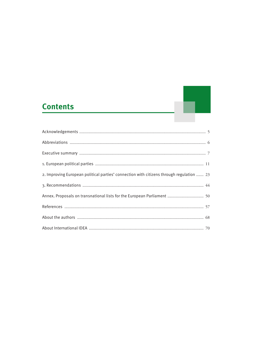### **Contents**

| 2. Improving European political parties' connection with citizens through regulation  23 |
|------------------------------------------------------------------------------------------|
|                                                                                          |
|                                                                                          |
|                                                                                          |
|                                                                                          |
|                                                                                          |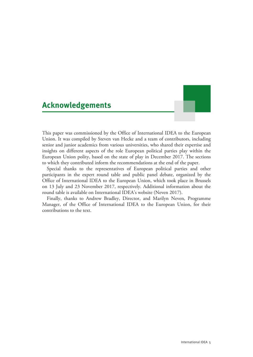### <span id="page-4-0"></span>**Acknowledgements**

This paper was commissioned by the Office of International IDEA to the European Union. It was compiled by Steven van Hecke and a team of contributors, including senior and junior academics from various universities, who shared their expertise and insights on different aspects of the role European political parties play within the European Union polity, based on the state of play in December 2017. The sections to which they contributed inform the recommendations at the end of the paper.

Special thanks to the representatives of European political parties and other participants in the expert round table and public panel debate, organized by the Office of International IDEA to the European Union, which took place in Brussels on 13 July and 23 November 2017, respectively. Additional information about the round table is available on International IDEA's website (Neven 2017).

Finally, thanks to Andrew Bradley, Director, and Marilyn Neven, Programme Manager, of the Office of International IDEA to the European Union, for their contributions to the text.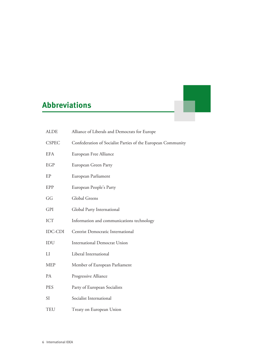## <span id="page-5-0"></span>**Abbreviations**

| <b>ALDE</b>    | Alliance of Liberals and Democrats for Europe                |
|----------------|--------------------------------------------------------------|
| <b>CSPEC</b>   | Confederation of Socialist Parties of the European Community |
| <b>EFA</b>     | European Free Alliance                                       |
| EGP            | European Green Party                                         |
| EP             | European Parliament                                          |
| EPP            | European People's Party                                      |
| GG             | Global Greens                                                |
| <b>GPI</b>     | Global Party International                                   |
| ICT            | Information and communications technology                    |
| <b>IDC-CDI</b> | Centrist Democratic International                            |
| IDU            | <b>International Democrat Union</b>                          |
| LI             | Liberal International                                        |
| <b>MEP</b>     | Member of European Parliament                                |
| PA             | Progressive Alliance                                         |
| <b>PES</b>     | Party of European Socialists                                 |
| SI             | Socialist International                                      |
| <b>TEU</b>     | Treaty on European Union                                     |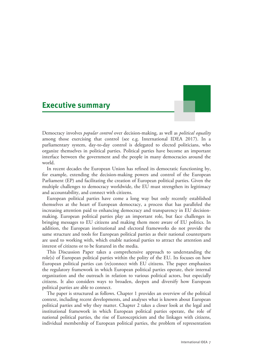### <span id="page-6-0"></span>**Executive summary**



Democracy involves *popular control* over decision-making, as well as *political equality* among those exercising that control (see e.g. International IDEA 2017). In a parliamentary system, day-to-day control is delegated to elected politicians, who organize themselves in political parties. Political parties have become an important interface between the government and the people in many democracies around the world.

In recent decades the European Union has refined its democratic functioning by, for example, extending the decision-making powers and control of the European Parliament (EP) and facilitating the creation of European political parties. Given the multiple challenges to democracy worldwide, the EU must strengthen its legitimacy and accountability, and connect with citizens.

European political parties have come a long way but only recently established themselves at the heart of European democracy, a process that has paralleled the increasing attention paid to enhancing democracy and transparency in EU decisionmaking. European political parties play an important role, but face challenges in bringing messages to EU citizens and making them more aware of EU politics. In addition, the European institutional and electoral frameworks do not provide the same structure and tools for European political parties as their national counterparts are used to working with, which enable national parties to attract the attention and interest of citizens or to be featured in the media.

This Discussion Paper takes a comprehensive approach to understanding the role(s) of European political parties within the polity of the EU. Its focuses on how European political parties can (re)connect with EU citizens. The paper emphasizes the regulatory framework in which European political parties operate, their internal organization and the outreach in relation to various political actors, but especially citizens. It also considers ways to broaden, deepen and diversify how European political parties are able to connect.

The paper is structured as follows. Chapter 1 provides an overview of the political context, including recent developments, and analyses what is known about European political parties and why they matter. Chapter 2 takes a closer look at the legal and institutional framework in which European political parties operate, the role of national political parties, the rise of Euroscepticism and the linkages with citizens, individual membership of European political parties, the problem of representation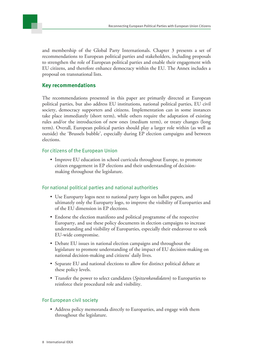and membership of the Global Party Internationals. Chapter 3 presents a set of recommendations to European political parties and stakeholders, including proposals to strengthen the role of European political parties and enable their engagement with EU citizens, and therefore enhance democracy within the EU. The Annex includes a proposal on transnational lists.

#### **Key recommendations**

The recommendations presented in this paper are primarily directed at European political parties, but also address EU institutions, national political parties, EU civil society, democracy supporters and citizens. Implementation can in some instances take place immediately (short term), while others require the adaptation of existing rules and/or the introduction of new ones (medium term), or treaty changes (long term). Overall, European political parties should play a larger role within (as well as outside) the 'Brussels bubble', especially during EP election campaigns and between elections.

#### For citizens of the European Union

• Improve EU education in school curricula throughout Europe, to promote citizen engagement in EP elections and their understanding of decisionmaking throughout the legislature.

#### For national political parties and national authorities

- Use Europarty logos next to national party logos on ballot papers, and ultimately only the Europarty logo, to improve the visibility of Europarties and of the EU dimension in EP elections.
- Endorse the election manifesto and political programme of the respective Europarty, and use these policy documents in election campaigns to increase understanding and visibility of Europarties, especially their endeavour to seek EU-wide compromise.
- Debate EU issues in national election campaigns and throughout the legislature to promote understanding of the impact of EU decision-making on national decision-making and citizens' daily lives.
- Separate EU and national elections to allow for distinct political debate at these policy levels.
- Transfer the power to select candidates (*Spitzenkandidaten*) to Europarties to reinforce their procedural role and visibility.

#### For European civil society

• Address policy memoranda directly to Europarties, and engage with them throughout the legislature.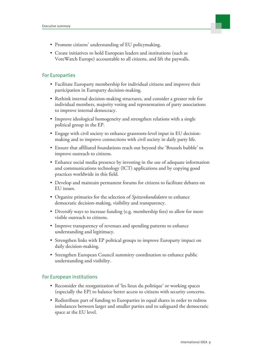- Promote citizens' understanding of EU policymaking.
- Create initiatives to hold European leaders and institutions (such as VoteWatch Europe) accountable to all citizens, and lift the paywalls.

#### For Europarties

- Facilitate Europarty membership for individual citizens and improve their participation in Europarty decision-making.
- Rethink internal decision-making structures, and consider a greater role for individual members, majority voting and representation of party associations to improve internal democracy.
- Improve ideological homogeneity and strengthen relations with a single political group in the EP.
- Engage with civil society to enhance grassroots-level input in EU decisionmaking and to improve connections with civil society in daily party life.
- Ensure that affiliated foundations reach out beyond the 'Brussels bubble' to improve outreach to citizens.
- Enhance social media presence by investing in the use of adequate information and communications technology (ICT) applications and by copying good practices worldwide in this field.
- Develop and maintain permanent forums for citizens to facilitate debates on EU issues.
- Organize primaries for the selection of *Spitzenkandidaten* to enhance democratic decision-making, visibility and transparency.
- Diversify ways to increase funding (e.g. membership fees) to allow for more visible outreach to citizens.
- Improve transparency of revenues and spending patterns to enhance understanding and legitimacy.
- Strengthen links with EP political groups to improve Europarty impact on daily decision-making.
- Strengthen European Council summitry coordination to enhance public understanding and visibility.

#### For European institutions

- Reconsider the reorganization of 'les lieux du politique' or working spaces (especially the EP) to balance better access to citizens with security concerns.
- Redistribute part of funding to Europarties in equal shares in order to redress imbalances between larger and smaller parties and to safeguard the democratic space at the EU level.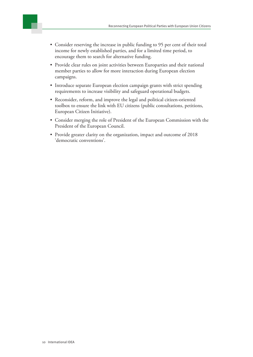

- Consider reserving the increase in public funding to 95 per cent of their total income for newly established parties, and for a limited time period, to encourage them to search for alternative funding.
- Provide clear rules on joint activities between Europarties and their national member parties to allow for more interaction during European election campaigns.
- Introduce separate European election campaign grants with strict spending requirements to increase visibility and safeguard operational budgets.
- Reconsider, reform, and improve the legal and political citizen-oriented toolbox to ensure the link with EU citizens (public consultations, petitions, European Citizen Initiative).
- Consider merging the role of President of the European Commission with the President of the European Council.
- Provide greater clarity on the organization, impact and outcome of 2018 'democratic conventions'.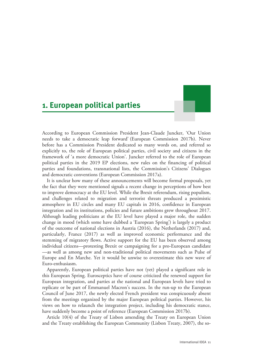### <span id="page-10-0"></span>**1. European political parties**

According to European Commission President Jean-Claude Juncker, 'Our Union needs to take a democratic leap forward' (European Commission 2017b). Never before has a Commission President dedicated so many words on, and referred so explicitly to, the role of European political parties, civil society and citizens in the framework of 'a more democratic Union'. Juncker referred to the role of European political parties in the 2019 EP elections, new rules on the financing of political parties and foundations, transnational lists, the Commission's Citizens' Dialogues and democratic conventions (European Commission 2017a).

It is unclear how many of these announcements will become formal proposals, yet the fact that they were mentioned signals a recent change in perceptions of how best to improve democracy at the EU level. While the Brexit referendum, rising populism, and challenges related to migration and terrorist threats produced a pessimistic atmosphere in EU circles and many EU capitals in 2016, confidence in European integration and its institutions, policies and future ambitions grew throughout 2017. Although leading politicians at the EU level have played a major role, the sudden change in mood (which some have dubbed a 'European Spring') is largely a product of the outcome of national elections in Austria (2016), the Netherlands (2017) and, particularly, France (2017) as well as improved economic performance and the stemming of migratory flows. Active support for the EU has been observed among individual citizens—protesting Brexit or campaigning for a pro-European candidate —as well as among new and non-traditional political movements such as Pulse of Europe and En Marche. Yet it would be unwise to overestimate this new wave of Euro-enthusiasm.

Apparently, European political parties have not (yet) played a significant role in this European Spring. Eurosceptics have of course criticized the renewed support for European integration, and parties at the national and European levels have tried to replicate or be part of Emmanuel Macron's success. In the run-up to the European Council of June 2017, the newly elected French president was conspicuously absent from the meetings organized by the major European political parties. However, his views on how to relaunch the integration project, including his democratic stance, have suddenly become a point of reference (European Commission 2017b).

Article 10(4) of the Treaty of Lisbon amending the Treaty on European Union and the Treaty establishing the European Community (Lisbon Treaty, 2007), the so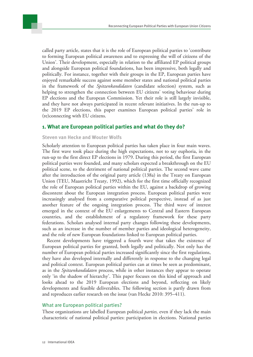called party article, states that it is the role of European political parties to 'contribute to forming European political awareness and to expressing the will of citizens of the Union'. Their development, especially in relation to the affiliated EP political groups and alongside European political foundations, has been impressive, both legally and politically. For instance, together with their groups in the EP, European parties have enjoyed remarkable success against some member states and national political parties in the framework of the *Spitzenkandidaten* (candidate selection) system, such as helping to strengthen the connection between EU citizens' voting behaviour during EP elections and the European Commission. Yet their role is still largely invisible, and they have not always participated in recent relevant initiatives. In the run-up to the 2019 EP elections, this paper examines European political parties' role in (re)connecting with EU citizens.

#### **1. What are European political parties and what do they do?**

#### **Steven van Hecke and Wouter Wolfs**

Scholarly attention to European political parties has taken place in four main waves. The first wave took place during the high expectations, not to say euphoria, in the run-up to the first direct EP elections in 1979. During this period, the first European political parties were founded, and many scholars expected a breakthrough on the EU political scene, to the detriment of national political parties. The second wave came after the introduction of the original party article (138a) in the Treaty on European Union (TEU, Maastricht Treaty, 1992), which for the first time officially recognized the role of European political parties within the EU, against a backdrop of growing discontent about the European integration process. European political parties were increasingly analysed from a comparative political perspective, instead of as just another feature of the ongoing integration process. The third wave of interest emerged in the context of the EU enlargements to Central and Eastern European countries, and the establishment of a regulatory framework for these party federations. Scholars analysed internal party changes following these developments, such as an increase in the number of member parties and ideological heterogeneity, and the role of new European foundations linked to European political parties.

Recent developments have triggered a fourth wave that takes the existence of European political parties for granted, both legally and politically. Not only has the number of European political parties increased significantly since the first regulations, they have also developed internally and differently in response to the changing legal and political context. European political parties can at times be seen as predominant, as in the *Spitzenkandidaten* process, while in other instances they appear to operate only 'in the shadow of hierarchy'. This paper focuses on this kind of approach and looks ahead to the 2019 European elections and beyond, reflecting on likely developments and feasible deliverables. The following section is partly drawn from and reproduces earlier research on the issue (van Hecke 2010: 395–411).

#### What are European political parties?

These organizations are labelled European political *parties,* even if they lack the main characteristic of national political parties: participation in elections. National parties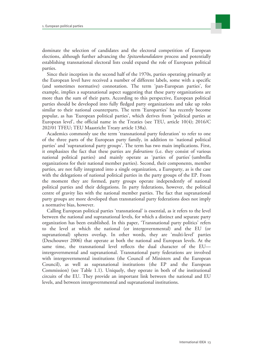

dominate the selection of candidates and the electoral competition of European elections, although further advancing the *Spitzenkandidaten* process and potentially establishing transnational electoral lists could expand the role of European political parties.

Since their inception in the second half of the 1970s, parties operating primarily at the European level have received a number of different labels, some with a specific (and sometimes normative) connotation. The term 'pan-European parties', for example, implies a supranational aspect suggesting that these party organizations are more than the sum of their parts. According to this perspective, European political parties should be developed into fully fledged party organizations and take up roles similar to their national counterparts. The term 'Europarties' has recently become popular, as has 'European political parties', which derives from 'political parties at European level', the official name in the Treaties (see TEU, article 10(4); 2016/C 202/01 TFEU; TEU Maastricht Treaty article 138a).

Academics commonly use the term 'transnational party federation' to refer to one of the three parts of the European party family, in addition to 'national political parties' and 'supranational party groups'. The term has two main implications. First, it emphasizes the fact that these parties are *federations* (i.e. they consist of various national political parties) and mainly operate as 'parties of parties' (umbrella organizations for their national member parties). Second, their components, member parties, are not fully integrated into a single organization, a Europarty, as is the case with the delegations of national political parties in the party groups of the EP. From the moment they are formed, party groups operate independently of national political parties and their delegations. In party federations, however, the political centre of gravity lies with the national member parties. The fact that supranational party groups are more developed than transnational party federations does not imply a normative bias, however.

Calling European political parties 'transnational' is essential, as it refers to the level between the national and supranational levels, for which a distinct and separate party organization has been established. In this paper, 'Transnational party politics' refers to the level at which the national (or intergovernmental) and the EU (or supranational) spheres overlap. In other words, they are 'multi-level' parties (Deschouwer 2006) that operate at both the national and European levels. At the same time, the transnational level reflects the dual character of the EU intergovernmental and supranational. Transnational party federations are involved with intergovernmental institutions (the Council of Ministers and the European Council), as well as supranational institutions (the EP and the European Commission) (see Table 1.1). Uniquely, they operate in both of the institutional circuits of the EU. They provide an important link between the national and EU levels, and between intergovernmental and supranational institutions.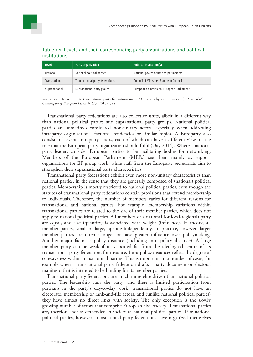| <b>Level</b>  | <b>Party organization</b>       | Political institution(s)                 |
|---------------|---------------------------------|------------------------------------------|
| National      | National political parties      | National governments and parliaments     |
| Transnational | Transnational party federations | Council of Ministers, European Council   |
| Supranational | Supranational party groups      | European Commission, European Parliament |

#### Table 1.1. Levels and their corresponding party organizations and political institutions

*Source*: Van Hecke, S., 'Do transnational party federations matter? (… and why should we care?)', *Journal of Contemporary European Research,* 6/3 (2010): 398.

Transnational party federations are also collective units, albeit in a different way than national political parties and supranational party groups. National political parties are sometimes considered non-unitary actors, especially when addressing intraparty organizations, factions, tendencies or similar topics. A Europarty also consists of several intraparty actors, each of which can have a different view on the role that the European party organization should fulfil (Day 2014). Whereas national party leaders consider European parties to be facilitating bodies for networking, Members of the European Parliament (MEPs) see them mainly as support organizations for EP group work, while staff from the Europarty secretariats aim to strengthen their supranational party characteristics.

Transnational party federations exhibit even more non-unitary characteristics than national parties, in the sense that they are generally composed of (national) political parties. Membership is mostly restricted to national political parties, even though the statutes of transnational party federations contain provisions that extend membership to individuals. Therefore, the number of members varies for different reasons for transnational and national parties. For example, membership variations within transnational parties are related to the size of their member parties, which does not apply to national political parties. All members of a national (or local/regional) party are equal, and size (quantity) is associated with weight (influence). In theory, all member parties, small or large, operate independently. In practice, however, larger member parties are often stronger or have greater influence over policymaking. Another major factor is policy distance (including intra-policy distance). A large member party can be weak if it is located far from the ideological centre of its transnational party federation, for instance. Intra-policy distances reflect the degree of cohesiveness within transnational parties. This is important in a number of cases, for example when a transnational party federation drafts a party document or electoral manifesto that is intended to be binding for its member parties.

Transnational party federations are much more elite driven than national political parties. The leadership runs the party, and there is limited participation from partisans in the party's day-to-day work; transnational parties do not have an electorate, membership or rank-and-file actors, and (unlike national political parties) they have almost no direct links with society. The only exception is the slowly growing number of actors that comprise European civil society. Transnational parties are, therefore, not as embedded in society as national political parties. Like national political parties, however, transnational party federations have organized themselves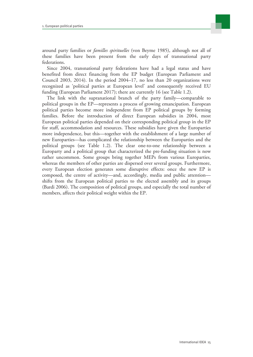

around party families or *familles spirituelles* (von Beyme 1985), although not all of these families have been present from the early days of transnational party federations.

Since 2004, transnational party federations have had a legal status and have benefited from direct financing from the EP budget (European Parliament and Council 2003, 2014). In the period 2004–17, no less than 20 organizations were recognized as 'political parties at European level' and consequently received EU funding (European Parliament 2017); there are currently 16 (see Table 1.2).

The link with the supranational branch of the party family—comparable to political groups in the EP—represents a process of growing emancipation. European political parties become more independent from EP political groups by forming families. Before the introduction of direct European subsidies in 2004, most European political parties depended on their corresponding political group in the EP for staff, accommodation and resources. These subsidies have given the Europarties more independence, but this—together with the establishment of a large number of new Europarties—has complicated the relationship between the Europarties and the political groups (see Table 1.2). The clear one-to-one relationship between a Europarty and a political group that characterized the pre-funding situation is now rather uncommon. Some groups bring together MEPs from various Europarties, whereas the members of other parties are dispersed over several groups. Furthermore, every European election generates some disruptive effects: once the new EP is composed, the centre of activity—and, accordingly, media and public attention shifts from the European political parties to the elected assembly and its groups (Bardi 2006). The composition of political groups, and especially the total number of members, affects their political weight within the EP.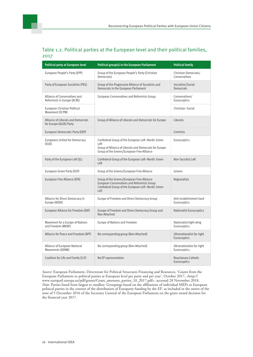#### Table 1.2. Political parties at the European level and their political families, 2017

| Political party at European level                                                                                                                                                       | Political group(s) in the European Parliament                                                                                                                      | <b>Political family</b>                     |
|-----------------------------------------------------------------------------------------------------------------------------------------------------------------------------------------|--------------------------------------------------------------------------------------------------------------------------------------------------------------------|---------------------------------------------|
| European People's Party (EPP)                                                                                                                                                           | Group of the European People's Party (Christian<br>Democrats)                                                                                                      | Christian Democrats/<br>Conservatives       |
| Party of European Socialists (PES)                                                                                                                                                      | Group of the Progressive Alliance of Socialists and<br>Democrats in the European Parliament                                                                        | Socialists/Social<br><b>Democrats</b>       |
| Alliance of Conservatives and<br>Reformists in Europe (ACRE)                                                                                                                            | European Conservatives and Reformists Group                                                                                                                        | Conservatives/<br>Eurosceptics              |
| European Christian Political<br>Movement (ECPM)                                                                                                                                         |                                                                                                                                                                    | Christian-Social                            |
| Alliance of Liberals and Democrats<br>for Europe (ALDE) Party                                                                                                                           | Group of Alliance of Liberals and Democrats for Europe                                                                                                             | Liberals                                    |
| European Democratic Party (EDP)                                                                                                                                                         |                                                                                                                                                                    | Centrists                                   |
| Europeans United for Democracy<br>(EUD)                                                                                                                                                 | Confederal Group of the European Left-Nordic Green<br>Left<br>Group of Alliance of Liberals and Democrats for Europe<br>Group of the Greens/European Free Alliance | Eurosceptics                                |
| Party of the European Left (EL)                                                                                                                                                         | Confederal Group of the European Left-Nordic Green<br>Left                                                                                                         | Non-Socialist Left                          |
| European Green Party (EGP)                                                                                                                                                              | Group of the Greens/European Free Alliance                                                                                                                         |                                             |
| Group of the Greens/European Free Alliance<br>European Free Alliance (EFA)<br>European Conservatives and Reformists Group<br>Confederal Group of the European Left-Nordic Green<br>Left |                                                                                                                                                                    | Regionalists                                |
| Alliance for Direct Democracy in<br>Europe (ADDE)                                                                                                                                       | Europe of Freedom and Direct Democracy Group                                                                                                                       | Anti-establishment hard<br>Eurosceptics     |
| European Alliance for Freedom (EAF)<br>Europe of Freedom and Direct Democracy Group and<br>Non-Attached                                                                                 |                                                                                                                                                                    | <b>Nationalist Eurosceptics</b>             |
| Movement for a Europe of Nations<br>and Freedom (MENF)                                                                                                                                  | Europe of Nations and Freedom                                                                                                                                      | Nationalist/right-wing<br>Eurosceptics      |
| Alliance for Peace and Freedom (APF)                                                                                                                                                    | No corresponding group (Non-Attached)                                                                                                                              |                                             |
| Alliance of European National<br>Movements (AENM)                                                                                                                                       | No corresponding group (Non-Attached)                                                                                                                              | Ultranationalist far-right<br>Eurosceptics  |
| Coalition for Life and Family (CLF)                                                                                                                                                     | No EP representation                                                                                                                                               | <b>Reactionary Catholic</b><br>Eurosceptics |

*Source*: European Parliament, Directorate for Political Structures Financing and Resources, 'Grants from the European Parliament to political parties at European level per party and per year', October 2017, <http:// www.europarl.europa.eu/pdf/grants/Grant\_amounts\_parties\_10\_2017.pdf>, accessed 28 November 2018. *Note*: Parties listed from largest to smallest. Groupings based on the affiliations of individual MEPs to European political parties in the context of the distribution of Europarty funding by the EP, as included in the annex of the note of 5 December 2016 of the Secretary General of the European Parliament on the grant award decision for the financial year 2017.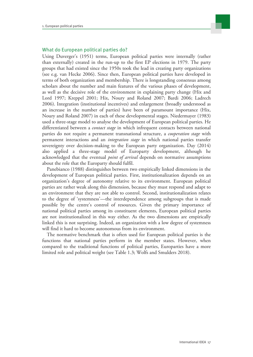

#### What do European political parties do?

Using Duverger's (1951) terms, European political parties were internally (rather than externally) created in the run-up to the first EP elections in 1979. The party groups that had existed since the 1950s took the lead in creating party organizations (see e.g. van Hecke 2006). Since then, European political parties have developed in terms of both organization and membership. There is longstanding consensus among scholars about the number and main features of the various phases of development, as well as the decisive role of the environment in explaining party change (Hix and Lord 1997; Kreppel 2001; Hix, Noury and Roland 2007; Bardi 2006; Ladrech 2006). Integration (institutional incentives) and enlargement (broadly understood as an increase in the number of parties) have been of paramount importance (Hix, Noury and Roland 2007) in each of these developmental stages. Niedermayer (1983) used a three-stage model to analyse the development of European political parties. He differentiated between a *contact stage* in which infrequent contacts between national parties do not require a permanent transnational structure, a *cooperation stage* with permanent interactions and an *integration stage* in which national parties transfer sovereignty over decision-making to the European party organization. Day (2014) also applied a three-stage model of Europarty development, although he acknowledged that the eventual *point of arrival* depends on normative assumptions about the role that the Europarty should fulfil.

Panebianco (1988) distinguishes between two empirically linked dimensions in the development of European political parties. First, institutionalization depends on an organization's degree of autonomy relative to its environment. European political parties are rather weak along this dimension, because they must respond and adapt to an environment that they are not able to control. Second, institutionalization relates to the degree of 'systemness'—the interdependence among subgroups that is made possible by the centre's control of resources. Given the primary importance of national political parties among its constituent elements, European political parties are not institutionalized in this way either. As the two dimensions are empirically linked this is not surprising. Indeed, an organization with a low degree of systemness will find it hard to become autonomous from its environment.

The normative benchmark that is often used for European political parties is the functions that national parties perform in the member states. However, when compared to the traditional functions of political parties, Europarties have a more limited role and political weight (see Table 1.3; Wolfs and Smulders 2018).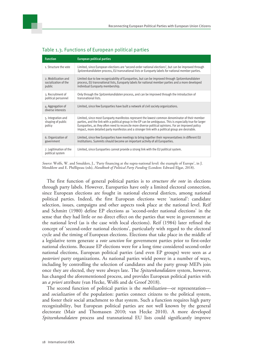| <b>Function</b>                                       | <b>European political parties</b>                                                                                                                                                                                                                                                                                                                                                                                           |  |  |
|-------------------------------------------------------|-----------------------------------------------------------------------------------------------------------------------------------------------------------------------------------------------------------------------------------------------------------------------------------------------------------------------------------------------------------------------------------------------------------------------------|--|--|
| 1. Structure the vote                                 | Limited, since European elections are 'second-order national elections', but can be improved through<br>Spitzenkandidaten process, EU transnational lists or Europarty labels for national member parties.                                                                                                                                                                                                                  |  |  |
| 2. Mobilization and<br>socialization of the<br>public | Limited due to low recognizability of Europarties, but can be improved through Spitzenkandidaten<br>process, EU transnational lists, Europarty labels for national member parties and a more developed<br>individual Europarty membership.                                                                                                                                                                                  |  |  |
| 3. Recruitment of<br>political personnel              | Only through the <i>Spitzenkandidaten</i> process, and can be improved through the introduction of<br>transnational lists.                                                                                                                                                                                                                                                                                                  |  |  |
| 4. Aggregation of<br>diverse interests                | Limited, since few Europarties have built a network of civil society organizations.                                                                                                                                                                                                                                                                                                                                         |  |  |
| 5. Integration and<br>shaping of public<br>policy     | Limited, since most Europarty manifestos represent the lowest common denominator of their member<br>parties, and the link with a political group in the EP can be ambiguous. This is especially true for larger<br>Europarties, as they often need to reconcile more diverse political opinions. For an improved policy<br>impact, more detailed party manifestos and a stronger link with a political group are desirable. |  |  |
| 6. Organization of<br>government                      | Limited, since few Europarties have meetings to bring together their representatives in different EU<br>institutions. Summits should become an important activity of all Europarties.                                                                                                                                                                                                                                       |  |  |
| 7. Legitimation of the<br>political system            | Limited, since Europarties cannot provide a strong link with the EU political system.                                                                                                                                                                                                                                                                                                                                       |  |  |

#### Table 1.3. Functions of European political parties

*Source*: Wolfs, W. and Smulders, J., 'Party financing at the supra-national level: the example of Europe', in J. Mendilow and E. Phéllipeau (eds), *Handbook of Political Party Funding* (London: Edward Elgar, 2018).

The first function of general political parties is to *structure the vote* in elections through party labels. However, Europarties have only a limited electoral connection, since European elections are fought in national electoral districts, among national political parties. Indeed, the first European elections were 'national': candidate selection, issues, campaigns and other aspects took place at the national level. Reif and Schmitt (1980) define EP elections as 'second-order national elections' in the sense that they had little or no direct effect on the parties that were in government at the national level (as is the case with local elections). Reif (1984) later refined the concept of 'second-order national elections', particularly with regard to the electoral cycle and the timing of European elections. Elections that take place in the middle of a legislative term generate a *vote sanction* for government parties prior to first-order national elections. Because EP elections were for a long time considered second-order national elections, European political parties (and even EP groups) were seen as *a posteriori* party organizations. As national parties wield power in a number of ways, including by controlling the selection of candidates and the party group MEPs join once they are elected, they were always late. The *Spitzenkandidaten* system, however, has changed the aforementioned process, and provides European political parties with an *a priori* attribute (van Hecke, Wolfs and de Groof 2018).

The second function of political parties is the *mobilization*—or representation and *socialization* of the population: parties connect citizens to the political system, and foster their social attachment to that system. Such a function requires high party recognizability, but European political parties are not well known by the general electorate (Mair and Thomassen 2010; van Hecke 2010). A more developed *Spitzenkandidaten* process and transnational EU lists could significantly improve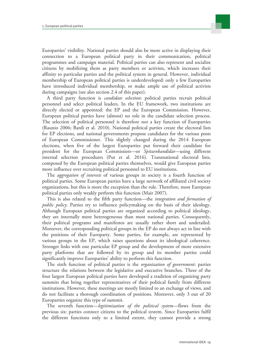

Europarties' visibility. National parties should also be more active in displaying their connection to a European political party in their communication, political programmes and campaign material. Political parties can also represent and socialize citizens by mobilizing them as party members or activists, which increases their affinity to particular parties and the political system in general. However, individual membership of European political parties is underdeveloped: only a few Europarties have introduced individual membership, or make ample use of political activists during campaigns (see also section 2.4 of this paper).

A third party function is *candidate selection*: political parties recruit political personnel and select political leaders. In the EU framework, two institutions are directly elected or appointed: the EP and the European Commission. However, European political parties have (almost) no role in the candidate selection process. The selection of political personnel is therefore not a key function of Europarties (Raunio 2006; Bardi et al. 2010). National political parties create the electoral lists for EP elections, and national governments propose candidates for the various posts of European Commissioner. This slightly changed during the 2014 European elections, when five of the largest Europarties put forward their candidate for president for the European Commission—or *Spitzenkandidat*—using different internal selection procedures (Put et al. 2016). Transnational electoral lists, composed by the European political parties themselves, would give European parties more influence over recruiting political personnel to EU institutions.

The *aggregation of interests* of various groups in society is a fourth function of political parties. Some European parties have a large network of affiliated civil society organizations, but this is more the exception than the rule. Therefore, most European political parties only weakly perform this function (Mair 2007).

This is also related to the fifth party function—the *integration and formation of public policy*. Parties try to influence policymaking on the basis of their ideology. Although European political parties are organized according to political ideology, they are internally more heterogeneous than most national parties. Consequently, their political programs and manifestos are usually rather short and undetailed. Moreover, the corresponding political groups in the EP do not always act in line with the positions of their Europarty. Some parties, for example, are represented by various groups in the EP, which raises questions about its ideological coherence. Stronger links with one particular EP group and the development of more extensive party platforms that are followed by its group and its member parties could significantly improve Europarties' ability to perform this function.

The sixth function of political parties is the *organization of government*: parties structure the relations between the legislative and executive branches. Three of the four largest European political parties have developed a tradition of organizing party summits that bring together representatives of their political family from different institutions. However, these meetings are mostly limited to an exchange of views, and do not facilitate a thorough coordination of positions. Moreover, only 3 out of 20 Europarties organize this type of summit.

The seventh function—*legitimization of the political system*—flows from the previous six: parties connect citizens to the political system. Since Europarties fulfil the different functions only to a limited extent, they cannot provide a strong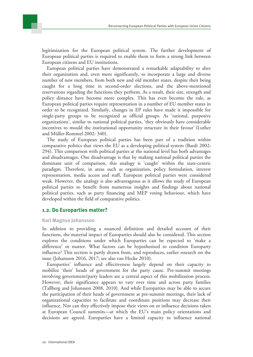

European political parties have demonstrated a remarkable adaptability to alter their organization and, even more significantly, to incorporate a large and diverse number of new members, from both new and old member states, despite their being caught for a long time in second-order elections, and the above-mentioned reservations regarding the functions they perform. As a result, their size, strength and policy distance have become more complex. This has even become the rule, as European political parties require representation in a number of EU member states in order to be recognized. Similarly, changes in EP rules have made it impossible for single-party groups to be recognized as official groups. As 'rational, purposive organizations', similar to national political parties, 'they obviously have considerable incentives to mould the institutional opportunity structure in their favour' (Luther and Müller-Rommel 2002: 340).

The study of European political parties has been part of a tradition within comparative politics that views the EU as a developing political system (Bardi 2002: 294). This comparison with political parties at the national level has both advantages and disadvantages. One disadvantage is that by making national political parties the dominant unit of comparison, this analogy is 'caught' within the state-centric paradigm. Therefore, in areas such as organization, policy formulation, interest representation, media access and staff, European political parties were considered weak. However, the analogy is also advantageous as it allows the study of European political parties to benefit from numerous insights and findings about national political parties, such as party financing and MEP voting behaviour, which have developed within the field of comparative politics.

#### **1.2. Do Europarties matter?**

#### **Karl Magnus Johansson**

In addition to providing a nuanced definition and detailed account of their functions, the material impact of Europarties should also be considered. This section explores the conditions under which Europarties can be expected to 'make a difference' or matter. What factors can be hypothesized to condition Europarty influence? This section is partly drawn from, and reproduces, earlier research on the issue (Johansson 2016, 2017; see also van Hecke 2010).

Europarties' influence and effectiveness largely depend on their capacity to mobilize 'their' heads of government for the party cause. Pre-summit meetings involving government/party leaders are a central aspect of this mobilization process. However, their significance appears to vary over time and across party families (Tallberg and Johansson 2008, 2010). And while Europarties may be able to secure the participation of their heads of government at pre-summit meetings, their lack of organizational capacities to facilitate and coordinate positions may decrease their influence. Nor can they effectively impose their views on or influence decisions taken at European Council summits—at which the EU's main policy orientations and decisions are agreed. Europarties have a limited capacity to influence national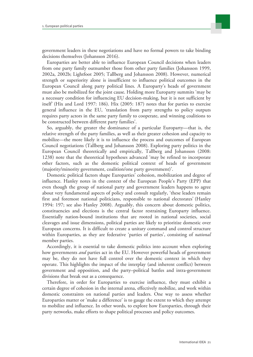government leaders in these negotiations and have no formal powers to take binding decisions themselves (Johansson 2016).

Europarties are better able to influence European Council decisions when leaders from one party family outnumber those from other party families (Johansson 1999, 2002a, 2002b; Lightfoot 2005; Tallberg and Johansson 2008). However, numerical strength or superiority alone is insufficient to influence political outcomes in the European Council along party political lines. A Europarty's heads of government must also be mobilized for the joint cause. Holding more Europarty summits 'may be a necessary condition for influencing EU decision-making, but it is not sufficient by itself' (Hix and Lord 1997: 186). Hix (2005: 187) notes that for parties to exercise general influence in the EU, 'translation from party strengths to policy outputs requires party actors in the same party family to cooperate, and winning coalitions to be constructed between different party families'.

So, arguably, the greater the dominance of a particular Europarty—that is, the relative strength of the party families, as well as their greater cohesion and capacity to mobilize—the more likely it is to influence the process and outcomes of European Council negotiations (Tallberg and Johansson 2008). Exploring party politics in the European Council theoretically and empirically, Tallberg and Johansson (2008: 1238) note that the theoretical hypotheses advanced 'may be refined to incorporate other factors, such as the domestic political context of heads of government (majority/minority government, coalition/one party government)'.

Domestic political factors shape Europarties' cohesion, mobilization and degree of influence. Hanley notes in the context of the European People's Party (EPP) that even though the group of national party and government leaders happens to agree about very fundamental aspects of policy and consult regularly, 'these leaders remain first and foremost national politicians, responsible to national electorates' (Hanley 1994: 197; see also Hanley 2008). Arguably, this concern about domestic politics, constituencies and elections is the central factor restraining Europarty influence. Essentially nation-bound institutions that are rooted in national societies, social cleavages and issue dimensions, political parties are likely to prioritize domestic over European concerns. It is difficult to create a unitary command and control structure within Europarties, as they are federative 'parties of parties', consisting of *national* member parties.

Accordingly, it is essential to take domestic politics into account when exploring how governments *and* parties act in the EU. However powerful heads of government may be, they do not have full control over the domestic context in which they operate. This highlights the impact of the interplay (and inherent conflict) between government and opposition, and the party–political battles and intra-government divisions that break out as a consequence.

Therefore, in order for Europarties to exercise influence, they must exhibit a certain degree of cohesion in the internal arena, effectively mobilize, and work within domestic constraints on national parties and leaders. One way to assess whether Europarties matter or 'make a difference' is to gauge the extent to which they attempt to mobilize and influence. In other words, to explore how Europarties, through their party networks, make efforts to shape political processes and policy outcomes.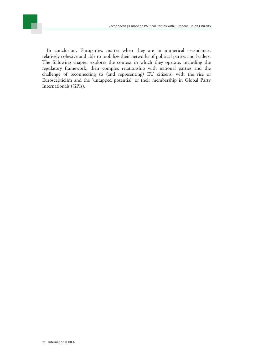In conclusion, Europarties matter when they are in numerical ascendance, relatively cohesive and able to mobilize their networks of political parties and leaders. The following chapter explores the context in which they operate, including the regulatory framework, their complex relationship with national parties and the challenge of reconnecting to (and representing) EU citizens, with the rise of Euroscepticism and the 'untapped potential' of their membership in Global Party Internationals (GPIs).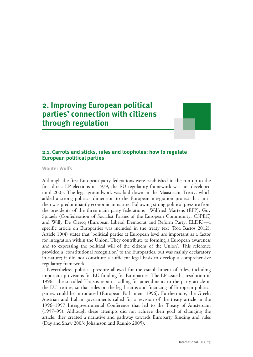### <span id="page-22-0"></span>**2. Improving European political parties' connection with citizens through regulation**



#### **2.1. Carrots and sticks, rules and loopholes: how to regulate European political parties**

**Wouter Wolfs**

Although the first European party federations were established in the run-up to the first direct EP elections in 1979, the EU regulatory framework was not developed until 2003. The legal groundwork was laid down in the Maastricht Treaty, which added a strong political dimension to the European integration project that until then was predominantly economic in nature. Following strong political pressure from the presidents of the three main party federations—Wilfried Martens (EPP), Guy Spitaels (Confederation of Socialist Parties of the European Community, CSPEC) and Willy De Clercq (European Liberal Democrat and Reform Party, ELDR)—a specific article on Europarties was included in the treaty text (Roa Bastos 2012). Article 10(4) states that 'political parties at European level are important as a factor for integration within the Union. They contribute to forming a European awareness and to expressing the political will of the citizens of the Union'. This reference provided a 'constitutional recognition' to the Europarties, but was mainly declaratory in nature; it did not constitute a sufficient legal basis to develop a comprehensive regulatory framework.

Nevertheless, political pressure allowed for the establishment of rules, including important provisions for EU funding for Europarties. The EP issued a resolution in 1996—the so-called Tsatsos report—calling for amendments to the party article in the EU treaties, so that rules on the legal status and financing of European political parties could be introduced (European Parliament 1996). Furthermore, the Greek, Austrian and Italian governments called for a revision of the treaty article in the 1996–1997 Intergovernmental Conference that led to the Treaty of Amsterdam (1997–99). Although these attempts did not achieve their goal of changing the article, they created a narrative and pathway towards Europarty funding and rules (Day and Shaw 2003; Johansson and Raunio 2005).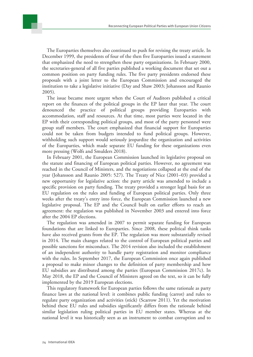

The issue became more urgent when the Court of Auditors published a critical report on the finances of the political groups in the EP later that year. The court denounced the practice of political groups providing Europarties with accommodation, staff and resources. At that time, most parties were located in the EP with their corresponding political groups, and most of the party personnel were group staff members. The court emphasized that financial support for Europarties could not be taken from budgets intended to fund political groups. However, withholding such support would seriously jeopardize the organization and activities of the Europarties, which made separate EU funding for these organizations even more pressing (Wolfs and Smulders 2018).

In February 2001, the European Commission launched its legislative proposal on the statute and financing of European political parties. However, no agreement was reached in the Council of Ministers, and the negotiations collapsed at the end of the year (Johansson and Raunio 2005: 527). The Treaty of Nice (2001–03) provided a new opportunity for legislative action: the party article was amended to include a specific provision on party funding. The treaty provided a stronger legal basis for an EU regulation on the rules and funding of European political parties. Only three weeks after the treaty's entry into force, the European Commission launched a new legislative proposal. The EP and the Council built on earlier efforts to reach an agreement: the regulation was published in November 2003 and entered into force after the 2004 EP elections.

The regulation was amended in 2007 to permit separate funding for European foundations that are linked to Europarties. Since 2008, these political think tanks have also received grants from the EP. The regulation was more substantially revised in 2014. The main changes related to the control of European political parties and possible sanctions for misconduct. The 2014 revision also included the establishment of an independent authority to handle party registration and monitor compliance with the rules. In September 2017, the European Commission once again published a proposal to make minor changes to the definition of party membership and how EU subsidies are distributed among the parties (European Commission 2017c). In May 2018, the EP and the Council of Ministers agreed on the text, so it can be fully implemented by the 2019 European elections.

This regulatory framework for European parties follows the same rationale as party finance laws at the national level: it combines public funding (carrot) and rules to regulate party organization and activities (stick) (Scarrow 2011). Yet the motivation behind these EU rules and subsidies significantly differs from the rationale behind similar legislation ruling political parties in EU member states. Whereas at the national level it was historically seen as an instrument to combat corruption and to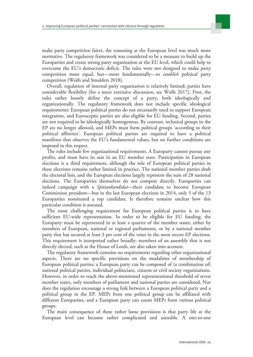

make party competition fairer, the reasoning at the European level was much more normative. The regulatory framework was considered to be a measure to build up the Europarties and create strong party organization at the EU level, which could help to overcome the EU's democratic deficit. The rules were not designed to make party competition more equal, but—more fundamentally—to *establish* political party competition (Wolfs and Smulders 2018).

Overall, regulation of internal party organization is relatively limited; parties have considerable flexibility (for a more extensive discussion, see Wolfs 2017). First, the rules rather loosely define the concept of a party, both ideologically and organizationally. The regulatory framework does not include specific ideological requirements: European political parties do not necessarily need to support European integration, and Eurosceptic parties are also eligible for EU funding. Second, parties are not required to be ideologically homogenous. By contrast, technical groups in the EP are no longer allowed, and MEPs must form political groups 'according to their political affinities'. European political parties are required to have a political manifesto that observes the EU's fundamental values, but no further conditions are imposed in this respect.

The rules include few organizational requirements. A Europarty cannot pursue any profits, and must have its seat in an EU member state. Participation in European elections is a third requirement, although the role of European political parties in these elections remains rather limited in practice. The national member parties draft the electoral lists, and the European elections largely represent the sum of 28 national elections. The Europarties themselves do not compete directly. Europarties can indeed campaign with a *Spitzenkandidat*—their candidate to become European Commission president—but in the last European elections in 2014, only 5 of the 13 Europarties nominated a top candidate. It therefore remains unclear how this particular condition is assessed.

The most challenging requirement for European political parties is to have sufficient EU-wide representation. In order to be eligible for EU funding, the Europarty must be represented in at least a quarter of the member states, either by members of European, national or regional parliaments, or by a national member party that has secured at least 3 per cent of the votes in the most recent EP elections. This requirement is interpreted rather broadly: members of an assembly that is not directly elected, such as the House of Lords, are also taken into account.

The regulatory framework contains no requirements regarding other organizational aspects. There are no specific provisions on the modalities of membership of European political parties; a European party can be composed of (a combination of) national political parties, individual politicians, citizens or civil society organizations. However, in order to reach the above-mentioned representational threshold of seven member states, only members of parliament and national parties are considered. Nor does the regulation encourage a strong link between a European political party and a political group in the EP. MEPs from one political group can be affiliated with different Europarties, and a European party can count MEPs from various political groups.

The main consequence of these rather loose provisions is that party life at the European level can become rather complicated and unstable. A one-to-one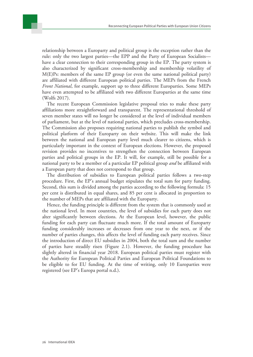relationship between a Europarty and political group is the exception rather than the rule: only the two largest parties—the EPP and the Party of European Socialists have a clear connection to their corresponding group in the EP. The party system is also characterized by significant cross-membership and membership volatility of M(E)Ps: members of the same EP group (or even the same national political party) are affiliated with different European political parties. The MEPs from the French *Front National*, for example, support up to three different Europarties. Some MEPs have even attempted to be affiliated with two different Europarties at the same time (Wolfs 2017).

The recent European Commission legislative proposal tries to make these party affiliations more straightforward and transparent. The representational threshold of seven member states will no longer be considered at the level of individual members of parliament, but at the level of national parties, which precludes cross-membership. The Commission also proposes requiring national parties to publish the symbol and political platform of their Europarty on their website. This will make the link between the national and European party level much clearer to citizens, which is particularly important in the context of European elections. However, the proposed revision provides no incentives to strengthen the connection between European parties and political groups in the EP. It will, for example, still be possible for a national party to be a member of a particular EP political group *and* be affiliated with a European party that does not correspond to that group.

The distribution of subsidies to European political parties follows a two-step procedure. First, the EP's annual budget stipulates the total sum for party funding. Second, this sum is divided among the parties according to the following formula: 15 per cent is distributed in equal shares, and 85 per cent is allocated in proportion to the number of MEPs that are affiliated with the Europarty.

Hence, the funding principle is different from the system that is commonly used at the national level. In most countries, the level of subsidies for each party does not alter significantly between elections. At the European level, however, the public funding for each party can fluctuate much more. If the total amount of Europarty funding considerably increases or decreases from one year to the next, or if the number of parties changes, this affects the level of funding each party receives. Since the introduction of direct EU subsidies in 2004, both the total sum and the number of parties have steadily risen (Figure 2.1). However, the funding procedure has slightly altered in financial year 2018. European political parties must register with the Authority for European Political Parties and European Political Foundations to be eligible to for EU funding. At the time of writing, only 10 Europarties were registered (see EP's Europa portal n.d.).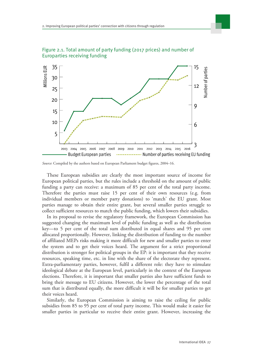

Figure 2.1. Total amount of party funding (2017 prices) and number of Europarties receiving funding

These European subsidies are clearly the most important source of income for European political parties, but the rules include a threshold on the amount of public funding a party can receive: a maximum of 85 per cent of the total party income. Therefore the parties must raise 15 per cent of their own resources (e.g. from individual members or member party donations) to 'match' the EU grant. Most parties manage to obtain their entire grant, but several smaller parties struggle to collect sufficient resources to match the public funding, which lowers their subsidies.

In its proposal to revise the regulatory framework, the European Commission has suggested changing the maximum level of public funding as well as the distribution key—to 5 per cent of the total sum distributed in equal shares and 95 per cent allocated proportionally. However, linking the distribution of funding to the number of affiliated MEPs risks making it more difficult for new and smaller parties to enter the system and to get their voices heard. The argument for a strict proportional distribution is stronger for political groups in the EP: it is important that they receive resources, speaking time, etc. in line with the share of the electorate they represent. Extra-parliamentary parties, however, fulfil a different role: they have to stimulate ideological debate at the European level, particularly in the context of the European elections. Therefore, it is important that smaller parties also have sufficient funds to bring their message to EU citizens. However, the lower the percentage of the total sum that is distributed equally, the more difficult it will be for smaller parties to get their voices heard.

Similarly, the European Commission is aiming to raise the ceiling for public subsidies from 85 to 95 per cent of total party income. This would make it easier for smaller parties in particular to receive their entire grant. However, increasing the

*Source*: Compiled by the authors based on European Parliament budget figures, 2004–16.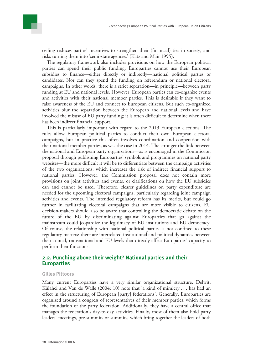

The regulatory framework also includes provisions on how the European political parties can spend their public funding. Europarties cannot use their European subsidies to finance—either directly or indirectly—national political parties or candidates. Nor can they spend the funding on referendum or national electoral campaigns. In other words, there is a strict separation—in principle—between party funding at EU and national levels. However, European parties can co-organize events and activities with their national member parties. This is desirable if they want to raise awareness of the EU and connect to European citizens. But such co-organized activities blur the separation between the European and national levels and have involved the misuse of EU party funding; it is often difficult to determine when there has been indirect financial support.

This is particularly important with regard to the 2019 European elections. The rules allow European political parties to conduct their own European electoral campaigns, but in practice this often involves coordination and cooperation with their national member parties, as was the case in 2014. The stronger the link between the national and European party organizations—as is encouraged in the Commission proposal through publishing Europarties' symbols and programmes on national party websites—the more difficult it will be to differentiate between the campaign activities of the two organizations, which increases the risk of indirect financial support to national parties. However, the Commission proposal does not contain more provisions on joint activities and events, or clarifications on how the EU subsidies can and cannot be used. Therefore, clearer guidelines on party expenditure are needed for the upcoming electoral campaigns, particularly regarding joint campaign activities and events. The intended regulatory reform has its merits, but could go further in facilitating electoral campaigns that are more visible to citizens. EU decision-makers should also be aware that controlling the democratic debate on the future of the EU by discriminating against Europarties that go against the mainstream could jeopardize the legitimacy of EU institutions and EU democracy. Of course, the relationship with national political parties is not confined to these regulatory matters: there are interrelated institutional and political dynamics between the national, transnational and EU levels that directly affect Europarties' capacity to perform their functions.

#### **2.2. Punching above their weight? National parties and their Europarties**

#### **Gilles Pittoors**

Many current Europarties have a very similar organizational structure. Delwit, Külahci and Van de Walle (2004: 10) note that 'a kind of mimicry . . . has had an effect in the structuring of European [party] federations'. Generally, Europarties are organized around a congress of representatives of their member parties, which forms the foundation of the party federation. Additionally, they have a central office that manages the federation's day-to-day activities. Finally, most of them also hold party leaders' meetings, pre-summits or summits, which bring together the leaders of both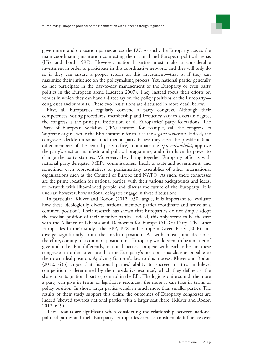government and opposition parties across the EU. As such, the Europarty acts as the main coordinating institution connecting the national and European political arenas (Hix and Lord 1997). However, national parties must make a considerable investment in order to participate in this coordinative network, and they will only do so if they can ensure a proper return on this investment—that is, if they can maximize their influence on the policymaking process. Yet, national parties generally do not participate in the day-to-day management of the Europarty or even party politics in the European arena (Ladrech 2007). They instead focus their efforts on venues in which they can have a direct say on the policy positions of the Europarty congresses and summits. These two institutions are discussed in more detail below.

First, all Europarties regularly convene a party congress. Although their competences, voting procedures, membership and frequency vary to a certain degree, the congress is the principal institution of all Europarties' party federations. The Party of European Socialists (PES) statutes, for example, call the congress its 'supreme organ', while the EFA statutes refer to it as the *organe souverain*. Indeed, the congresses decide on some fundamental party issues: they elect the president (and other members of the central party office), nominate the *Spitzenkandidat*, approve the party's election manifesto and political programme, and often have the power to change the party statutes. Moreover, they bring together Europarty officials with national party delegates, MEPs, commissioners, heads of state and government, and sometimes even representatives of parliamentary assemblies of other international organizations such as the Council of Europe and NATO. As such, these congresses are the prime location for national parties, with their various backgrounds and ideas, to network with like-minded people and discuss the future of the Europarty. It is unclear, however, how national delegates engage in these discussions.

In particular, Klüver and Rodon (2012: 630) argue, it is important to 'evaluate how these ideologically diverse national member parties coordinate and arrive at a common position'. Their research has shown that Europarties do not simply adopt the median position of their member parties. Indeed, this only seems to be the case with the Alliance of Liberals and Democrats for Europe (ALDE) Party. The other Europarties in their study—the EPP, PES and European Green Party (EGP)—all diverge significantly from the median position. As with most joint decisions, therefore, coming to a common position in a Europarty would seem to be a matter of give and take. Put differently, national parties compete with each other in these congresses in order to ensure that the Europarty's position is as close as possible to their own ideal position. Applying Gamson's law to this process, Klüver and Rodon (2012: 633) argue that 'national parties' ability to succeed in this multilevel competition is determined by their legislative resource', which they define as 'the share of seats [national parties] control in the EP'. The logic is quite sound: the more a party can give in terms of legislative resources, the more it can take in terms of policy position. In short, larger parties weigh in much more than smaller parties. The results of their study support this claim: the outcomes of Europarty congresses are indeed 'skewed towards national parties with a larger seat share' (Klüver and Rodon 2012: 649).

These results are significant when considering the relationship between national political parties and their Europarty. Europarties exercise considerable influence over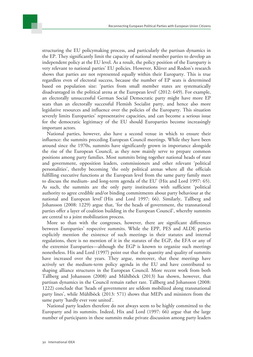structuring the EU policymaking process, and particularly the partisan dynamics in the EP. They significantly limit the capacity of national member parties to develop an independent policy at the EU level. As a result, the policy position of the Europarty is very relevant to national parties' EU policies. However, Klüver and Rodon's research shows that parties are not represented equally within their Europarty. This is true regardless even of electoral success, because the number of EP seats is determined based on population size: 'parties from small member states are systematically disadvantaged in the political arena at the European level' (2012: 649). For example, an electorally unsuccessful German Social Democratic party might have more EP seats than an electorally successful Flemish Socialist party, and hence also more legislative resources and influence over the policies of the Europarty. This situation severely limits Europarties' representative capacities, and can become a serious issue for the democratic legitimacy of the EU should Europarties become increasingly important actors.

National parties, however, also have a second venue in which to ensure their influence: the summits preceding European Council meetings. While they have been around since the 1970s, summits have significantly grown in importance alongside the rise of the European Council, as they now mainly serve to prepare common positions among party families. Most summits bring together national heads of state and government, opposition leaders, commissioners and other relevant 'political personalities', thereby becoming 'the only political arenas where all the officials fulfilling executive functions at the European level from the same party family meet to discuss the medium- and long-term agenda of the EU' (Hix and Lord 1997: 65). As such, the summits are the only party institutions with sufficient 'political authority to agree credible and/or binding commitments about party behaviour at the national and European level' (Hix and Lord 1997: 66). Similarly, Tallberg and Johansson (2008: 1229) argue that, 'for the heads of government, the transnational parties offer a layer of coalition building in the European Council', whereby summits are central to a joint mobilization process.

More so than with the congresses, however, there are significant differences between Europarties' respective summits. While the EPP, PES and ALDE parties explicitly mention the existence of such meetings in their statutes and internal regulations, there is no mention of it in the statutes of the EGP, the EFA or any of the extremist Europarties—although the EGP is known to organize such meetings nonetheless. Hix and Lord (1997) point out that the quantity and quality of summits have increased over the years. They argue, moreover, that these meetings have actively set the medium-term policy agenda in the EU and have contributed to shaping alliance structures in the European Council. More recent work from both Tallberg and Johansson (2008) and Mühlböck (2013) has shown, however, that partisan dynamics in the Council remain rather rare. Tallberg and Johansson (2008: 1222) conclude that 'heads of government are seldom mobilized along transnational party lines', while Mühlböck (2013: 571) shows that MEPs and ministers from the same party 'hardly ever vote united'.

National party leaders therefore do not always seem to be highly committed to the Europarty and its summits. Indeed, Hix and Lord (1997: 66) argue that the large number of participants in these summits make private discussion among party leaders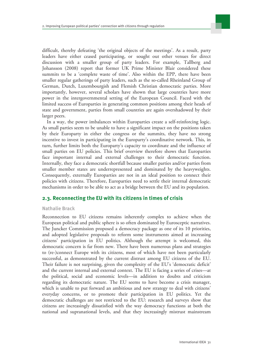difficult, thereby defeating 'the original objects of the meetings'. As a result, party leaders have either ceased participating, or sought out other venues for direct discussion with a smaller group of party leaders. For example, Tallberg and Johansson (2008) report that former UK Prime Minister Blair considered these summits to be a 'complete waste of time'. Also within the EPP, there have been smaller regular gatherings of party leaders, such as the so-called Rheinland Group of German, Dutch, Luxembourgish and Flemish Christian democratic parties. More importantly, however, several scholars have shown that large countries have more power in the intergovernmental setting of the European Council. Faced with the limited success of Europarties in generating common positions among their heads of state and government, parties from small countries are again overshadowed by their larger peers.

In a way, the power imbalances within Europarties create a self-reinforcing logic. As small parties seem to be unable to have a significant impact on the positions taken by their Europarty in either the congress or the summits, they have no strong incentive to invest in participating in the Europarty's coordinative network. This, in turn, further limits both the Europarty's capacity to coordinate and the influence of small parties on EU policies. This brief overview therefore shows that Europarties face important internal and external challenges to their democratic function. Internally, they face a democratic shortfall because smaller parties and/or parties from smaller member states are underrepresented and dominated by the heavyweights. Consequently, externally Europarties are not in an ideal position to connect their policies with citizens. Therefore, Europarties need to settle their internal democratic mechanisms in order to be able to act as a bridge between the EU and its population.

#### **2.3. Reconnecting the EU with its citizens in times of crisis**

#### **Nathalie Brack**

Reconnection to EU citizens remains inherently complex to achieve when the European political and public sphere is so often dominated by Eurosceptic narratives. The Juncker Commission proposed a democracy package as one of its 10 priorities, and adopted legislative proposals to reform some instruments aimed at increasing citizens' participation in EU politics. Although the attempt is welcomed, this democratic concern is far from new. There have been numerous plans and strategies to (re-)connect Europe with its citizens, most of which have not been particularly successful, as demonstrated by the current distrust among EU citizens of the EU. Their failure is not surprising, given the complexity of the EU's 'democratic deficit' and the current internal and external context. The EU is facing a series of crises—at the political, social and economic levels—in addition to doubts and criticism regarding its democratic nature. The EU seems to have become a crisis manager, which is unable to put forward an ambitious and new strategy to deal with citizens' everyday concerns, or to promote their participation in EU politics. Yet the democratic challenges are not restricted to the EU: research and surveys show that citizens are increasingly dissatisfied with the way democracy functions at both the national and supranational levels, and that they increasingly mistrust mainstream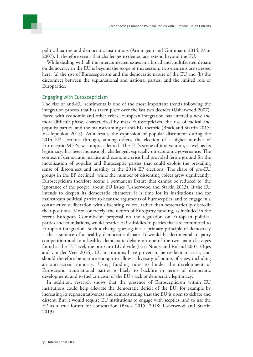

political parties and democratic institutions (Armingeon and Guthmann 2014; Mair 2007). It therefore seems that challenges to democracy extend beyond the EU.

While dealing with all the interconnected issues in a broad and multifaceted debate on democracy in the EU is beyond the scope of this section, two elements are stressed here: (a) the rise of Euroscepticism and the democratic nature of the EU and (b) the disconnect between the supranational and national parties, and the limited role of Europarties.

#### Engaging with Euroscepticism

The rise of anti-EU sentiments is one of the most important trends following the integration process that has taken place over the last two decades (Usherwood 2007). Faced with economic and other crises, European integration has entered a new and more difficult phase, characterized by mass Euroscepticism, the rise of radical and populist parties, and the mainstreaming of anti-EU rhetoric (Brack and Startin 2015; Vasilopoulou 2013). As a result, the expression of popular discontent during the 2014 EP elections through, among others, the election of a higher number of Eurosceptic MEPs, was unprecedented. The EU's scope of intervention, as well as its legitimacy, has been increasingly challenged, especially on economic governance. The context of democratic malaise and economic crisis had provided fertile ground for the mobilization of populist and Eurosceptic parties that could exploit the prevailing sense of disconnect and hostility at the 2014 EP elections. The share of pro-EU groups in the EP declined, while the number of dissenting voices grew significantly. Euroscepticism therefore seems a permanent fixture that cannot be reduced to 'the ignorance of the people' about EU issues (Usherwood and Startin 2013). If the EU intends to deepen its democratic character, it is time for its institutions and for mainstream political parties to hear the arguments of Eurosceptics, and to engage in a constructive deliberation with dissenting voices, rather than systematically discredit their positions. More concretely, the reform of Europarty funding, as included in the recent European Commission proposal on the regulation on European political parties and foundations, would restrict EU subsidies to parties that are committed to European integration. Such a change goes against a primary principle of democracy —the assurance of a healthy democratic debate. It would be detrimental to party competition and to a healthy democratic debate on one of the two main cleavages found at the EU level, the pro-/anti-EU divide (Hix, Noury and Roland 2007; Otjes and van der Veer 2016). EU institutions have proven to be resilient to crisis, and should therefore be mature enough to allow a diversity of points of view, including an anti-system minority. Using funding rules to hinder the development of Eurosceptic transnational parties is likely to backfire in terms of democratic development, and to fuel criticism of the EU's lack of democratic legitimacy.

In addition, research shows that the presence of Euroscepticism within EU institutions could help alleviate the democratic deficit of the EU, for example by increasing its representativeness and demonstrating that the EU is open to debate and dissent. But it would require EU institutions to engage with sceptics, and to use the EP as a true forum for contestation (Brack 2015, 2018; Usherwood and Startin 2013).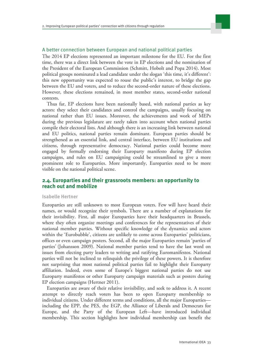

#### A better connection between European and national political parties

The 2014 EP elections represented an important milestone for the EU. For the first time, there was a direct link between the vote in EP elections and the nomination of the President of the European Commission (Schmitt, Hobolt and Popa 2014). Most political groups nominated a lead candidate under the slogan 'this time, it's different': this new opportunity was expected to rouse the public's interest, to bridge the gap between the EU and voters, and to reduce the second-order nature of these elections. However, these elections remained, in most member states, second-order national contests.

Thus far, EP elections have been nationally based, with national parties as key actors: they select their candidates and control the campaigns, usually focusing on national rather than EU issues. Moreover, the achievements and work of MEPs during the previous legislature are rarely taken into account when national parties compile their electoral lists. And although there is an increasing link between national and EU politics, national parties remain dominant. European parties should be strengthened as an essential link, and central interface, between EU institutions and citizens, through representative democracy. National parties could become more engaged by formally endorsing their Europarty manifesto during EP election campaigns, and rules on EU campaigning could be streamlined to give a more prominent role to Europarties. More importantly, Europarties need to be more visible on the national political scene.

#### **2.4. Europarties and their grassroots members: an opportunity to reach out and mobilize**

#### **Isabelle Hertner**

Europarties are still unknown to most European voters. Few will have heard their names, or would recognize their symbols. There are a number of explanations for their invisibility. First, all major Europarties have their headquarters in Brussels, where they often organize meetings and conferences for the representatives of their national member parties. Without specific knowledge of the dynamics and actors within the 'Eurobubble', citizens are unlikely to come across Europarties' politicians, offices or even campaign posters. Second, all the major Europarties remain 'parties of parties' (Johansson 2009). National member parties tend to have the last word on issues from electing party leaders to writing and ratifying Euromanifestos. National parties will not be inclined to relinquish the privilege of these powers. It is therefore not surprising that most national political parties fail to highlight their Europarty affiliation. Indeed, even some of Europe's biggest national parties do not use Europarty manifestos or other Europarty campaign materials such as posters during EP election campaigns (Hertner 2011).

Europarties are aware of their relative invisibility, and seek to address it. A recent attempt to directly reach voters has been to open Europarty membership to individual citizens. Under different terms and conditions, all the major Europarties including the EPP, the PES, the EGP, the Alliance of Liberals and Democrats for Europe, and the Party of the European Left—have introduced individual membership. This section highlights how individual membership can benefit the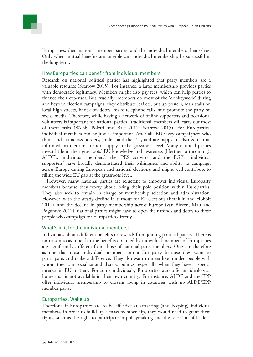Europarties, their national member parties, and the individual members themselves. Only when mutual benefits are tangible can individual membership be successful in the long term.

#### How Europarties can benefit from individual members

Research on national political parties has highlighted that party members are a valuable resource (Scarrow 2015). For instance, a large membership provides parties with democratic legitimacy. Members might also pay fees, which can help parties to finance their expenses. But crucially, members do most of the 'donkeywork' during and beyond election campaigns: they distribute leaflets, put up posters, man stalls on local high streets, knock on doors, make telephone calls, and promote the party on social media. Therefore, while having a network of online supporters and occasional volunteers is important for national parties, 'traditional' members still carry out most of these tasks (Webb, Poletti and Bale 2017; Scarrow 2015). For Europarties, individual members can be just as important. After all, EU-savvy campaigners who think and act across borders, understand the EU, and are happy to discuss it in an informed manner are in short supply at the grassroots level. Many national parties invest little in their grassroots' EU knowledge and awareness (Hertner forthcoming). ALDE's 'individual members', the 'PES activists' and the EGP's 'individual supporters' have broadly demonstrated their willingness and ability to campaign across Europe during European and national elections, and might well contribute to filling the wide EU gap at the grassroots level.

However, many national parties are reluctant to empower individual Europarty members because they worry about losing their pole position within Europarties. They also seek to remain in charge of membership selection and administration. However, with the steady decline in turnout for EP elections (Franklin and Hobolt 2011), and the decline in party membership across Europe (van Biezen, Mair and Poguntke 2012), national parties might have to open their minds and doors to those people who campaign for Europarties directly.

#### What's in it for the individual members?

Individuals obtain different benefits or rewards from joining political parties. There is no reason to assume that the benefits obtained by individual members of Europarties are significantly different from those of national party members. One can therefore assume that most individual members join a Europarty because they want to participate, and make a difference. They also want to meet like-minded people with whom they can socialize and discuss politics, especially when they have a special interest in EU matters. For some individuals, Europarties also offer an ideological home that is not available in their own country. For instance, ALDE and the EPP offer individual membership to citizens living in countries with no ALDE/EPP member party.

#### Europarties: Wake up!

Therefore, if Europarties are to be effective at attracting (and keeping) individual members, in order to build up a mass membership, they would need to grant them rights, such as the right to participate in policymaking and the selection of leaders.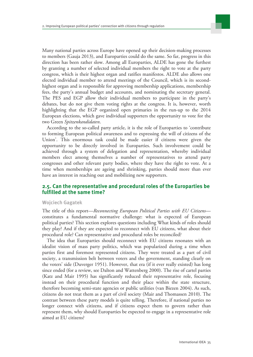

Many national parties across Europe have opened up their decision-making processes to members (Gauja 2013), and Europarties could do the same. So far, progress in this direction has been rather slow. Among all Europarties, ALDE has gone the furthest by granting a number of selected individual members the right to vote at the party congress, which is their highest organ and ratifies manifestos. ALDE also allows one elected individual member to attend meetings of the Council, which is its secondhighest organ and is responsible for approving membership applications, membership fees, the party's annual budget and accounts, and nominating the secretary general. The PES and EGP allow their individual members to participate in the party's debates, but do not give them voting rights at the congress. It is, however, worth highlighting that the EGP organized open primaries in the run-up to the 2014 European elections, which gave individual supporters the opportunity to vote for the two Green *Spitzenkandidaten*.

According to the so-called party article, it is the role of Europarties to 'contribute to forming European political awareness and to expressing the will of citizens of the Union'. This enormous task could be made easier if citizens were given the opportunity to be directly involved in Europarties. Such involvement could be achieved through a system of delegation and representation, whereby individual members elect among themselves a number of representatives to attend party congresses and other relevant party bodies, where they have the right to vote. At a time when memberships are ageing and shrinking, parties should more than ever have an interest in reaching out and mobilizing new supporters.

#### **2.5. Can the representative and procedural roles of the Europarties be fulfilled at the same time?**

#### **Wojciech Gagatek**

The title of this report—*Reconnecting European Political Parties with EU Citizens* constitutes a fundamental normative challenge: what is expected of European political parties? This section explores questions including What kinds of roles should they play? And if they are expected to reconnect with EU citizens, what about their procedural role? Can representative and procedural roles be reconciled?

The idea that Europarties should reconnect with EU citizens resonates with an idealist vision of mass party politics, which was popularized during a time when parties first and foremost represented citizens. They were treated as a part of civil society, a transmission belt between voters and the government, standing clearly on the voters' side (Duverger 1951). However, that era (if it ever really existed) has long since ended (for a review, see Dalton and Wattenberg 2000). The rise of cartel parties (Katz and Mair 1995) has significantly reduced their representative role, focusing instead on their procedural function and their place within the state structure, therefore becoming semi-state agencies or public utilities (van Biezen 2004). As such, citizens do not treat them as a part of civil society (Mair and Thomassen 2010). The contrast between these party models is quite telling. Therefore, if national parties no longer connect with citizens, and if citizens expect them to govern rather than represent them, why should Europarties be expected to engage in a representative role aimed at EU citizens?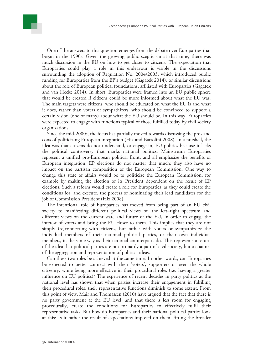

Since the mid-2000s, the focus has partially moved towards discussing the pros and cons of politicizing European integration (Hix and Bartolini 2008). In a nutshell, the idea was that citizens do not understand, or engage in, EU politics because it lacks the political controversy that marks national politics. Mainstream Europarties represent a unified pro-European political front, and all emphasize the benefits of European integration. EP elections do not matter that much; they also have no impact on the partisan composition of the European Commission. One way to change this state of affairs would be to politicize the European Commission, for example by making the election of its President dependent on the result of EP elections. Such a reform would create a role for Europarties, as they could create the conditions for, and execute, the process of nominating their lead candidates for the job of Commission President (Hix 2008).

The intentional role of Europarties has moved from being part of an EU civil society to manifesting different political views on the left–right spectrum and different views on the current state and future of the EU, in order to engage the interest of voters and bring the EU closer to them. This implies that they are not simply (re)connecting with citizens, but rather with voters or sympathizers: the individual members of their national political parties, or their own individual members, in the same way as their national counterparts do. This represents a return of the idea that political parties are not primarily a part of civil society, but a channel of the aggregation and representation of political ideas.

Can these two roles be achieved at the same time? In other words, can Europarties be expected to better connect with their 'voters', supporters or even the whole citizenry, while being more effective in their procedural roles (i.e. having a greater influence on EU politics)? The experience of recent decades in party politics at the national level has shown that when parties increase their engagement in fulfilling their procedural roles, their representative functions diminish to some extent. From this point of view, Mair and Thomassen (2010) have argued that the fact that there is no party government at the EU level, and that there is less room for engaging procedurally, create the conditions for Europarties to effectively fulfil their representative tasks. But how do Europarties and their national political parties look at this? Is it rather the result of expectations imposed on them, fitting the broader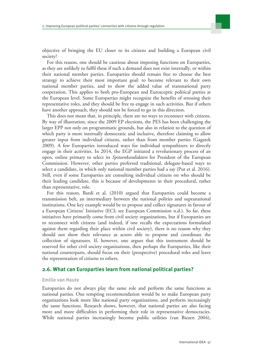objective of bringing the EU closer to its citizens and building a European civil society?

For this reason, one should be cautious about imposing functions on Europarties, as they are unlikely to fulfil these if such a demand does not exist internally, or within their national member parties. Europarties should remain free to choose the best strategy to achieve their most important goal: to become relevant to their own national member parties, and to show the added value of transnational party cooperation. This applies to both pro-European and Eurosceptic political parties at the European level. Some Europarties might recognize the benefits of stressing their representative roles, and they should be free to engage in such activities. But if others have another approach, they should not be forced to go in this direction.

This does not mean that, in principle, there are no ways to reconnect with citizens. By way of illustration, since the 2009 EP elections, the PES has been challenging the larger EPP not only on programmatic grounds, but also in relation to the question of which party is more internally democratic and inclusive, therefore claiming to allow greater input from individual citizens, rather than from member parties (Gagatek 2009). A few Europarties introduced ways for individual sympathizers to directly engage in their activities. In 2014, the EGP initiated a revolutionary process of an open, online primary to select its *Spitzenkandidaten* for President of the European Commission. However, other parties preferred traditional, delegate-based ways to select a candidate, in which only national member parties had a say (Put et al. 2016). Still, even if some Europarties are consulting individual citizens on who should be their leading candidate, this is because of developments in their procedural, rather than representative, role.

For this reason, Bardi et al. (2010) argued that Europarties could become a transmission belt, an intermediary between the national polities and supranational institutions. One key example would be to propose and collect signatures in favour of a European Citizens' Initiative (ECI; see European Commission n.d.). So far, these initiatives have primarily come from civil society organizations, but if Europarties are to reconnect with citizens (and indeed, if one recalls the expectations formulated against them regarding their place within civil society), there is no reason why they should not show their relevance as actors able to propose and coordinate the collection of signatures. If, however, one argues that this instrument should be reserved for other civil society organizations, then perhaps the Europarties, like their national counterparts, should focus on their (prospective) procedural roles and leave the representation of citizens to others.

#### **2.6. What can Europarties learn from national political parties?**

#### **Emilie van Haute**

Europarties do not always play the same role and perform the same functions as national parties. One tempting recommendation would be to make European party organizations look more like national party organizations, and perform increasingly the same functions. Research shows, however, that national parties are also facing more and more difficulties in performing their role in representative democracies. While national parties increasingly become public utilities (van Biezen 2004),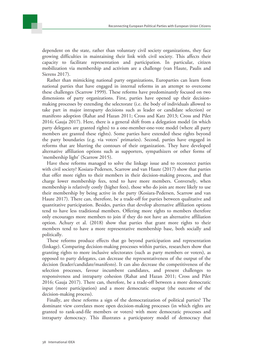

Rather than mimicking national party organizations, Europarties can learn from national parties that have engaged in internal reforms in an attempt to overcome these challenges (Scarrow 1999). These reforms have predominantly focused on two dimensions of party organizations. First, parties have opened up their decisionmaking processes by extending the selectorate (i.e. the body of individuals allowed to take part in major intraparty decisions such as leader or candidate selection) or manifesto adoption (Rahat and Hazan 2011; Cross and Katz 2013; Cross and Pilet 2016; Gauja 2017). Here, there is a general shift from a delegation model (in which party delegates are granted rights) to a one-member-one-vote model (where all party members are granted these rights). Some parties have extended these rights beyond the party boundaries (e.g. via voters' primaries). Second, parties have engaged in reforms that are blurring the contours of their organization. They have developed alternative affiliation options such as supporters, sympathizers or other forms of 'membership light' (Scarrow 2015).

Have these reforms managed to solve the linkage issue and to reconnect parties with civil society? Kosiara-Pedersen, Scarrow and van Haute (2017) show that parties that offer more rights to their members in their decision-making process, and that charge lower membership fees, tend to have more members. Conversely, when membership is relatively costly (higher fees), those who do join are more likely to use their membership by being active in the party (Kosiara-Pedersen, Scarrow and van Haute 2017). There can, therefore, be a trade-off for parties between qualitative and quantitative participation. Besides, parties that develop alternative affiliation options tend to have less traditional members. Offering more rights to members therefore only encourages more members to join if they do not have an alternative affiliation option. Achury et al. (2018) show that parties that grant more rights to their members tend to have a more representative membership base, both socially and politically.

These reforms produce effects that go beyond participation and representation (linkage). Comparing decision-making processes within parties, researchers show that granting rights to more inclusive selectorates (such as party members or voters), as opposed to party delegates, can decrease the representativeness of the output of the decision (leader/candidate/manifesto). It can also decrease the competitiveness of the selection processes, favour incumbent candidates, and present challenges to responsiveness and intraparty cohesion (Rahat and Hazan 2011; Cross and Pilet 2016; Gauja 2017). There can, therefore, be a trade-off between a more democratic input (more participation) and a more democratic output (the outcome of the decision-making process).

Finally, are these reforms a sign of the democratization of political parties? The dominant view correlates more open decision-making processes (in which rights are granted to rank-and-file members or voters) with more democratic processes and intraparty democracy. This illustrates a participatory model of democracy that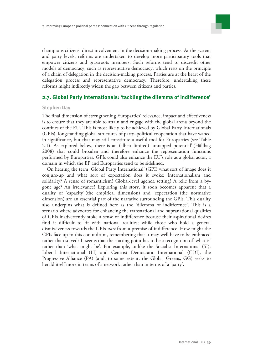

champions citizens' direct involvement in the decision-making process. At the system and party levels, reforms are undertaken to develop more participatory tools that empower citizens and grassroots members. Such reforms tend to discredit other models of democracy, such as representative democracy, which rests on the principle of a chain of delegation in the decision-making process. Parties are at the heart of the delegation process and representative democracy. Therefore, undertaking these reforms might indirectly widen the gap between citizens and parties.

#### **2.7. Global Party Internationals: 'tackling the dilemma of indifference'**

#### **Stephen Day**

The final dimension of strengthening Europarties' relevance, impact and effectiveness is to ensure that they are able to attain and engage with the global arena beyond the confines of the EU. This is most likely to be achieved by Global Party Internationals (GPIs), longstanding global structures of party–political cooperation that have waned in significance, but that may still constitute a useful tool for Europarties (see Table 2.1). As explored below, there is an (albeit limited) 'untapped potential' (Hällhag 2008) that could broaden and therefore enhance the representation functions performed by Europarties. GPIs could also enhance the EU's role as a global actor, a domain in which the EP and Europarties tend to be sidelined.

On hearing the term 'Global Party International' (GPI) what sort of image does it conjure-up and what sort of expectation does it evoke: Internationalism and solidarity? A sense of romanticism? Global-level agenda setting? A relic from a bygone age? An irrelevance? Exploring this story, it soon becomes apparent that a duality of 'capacity' (the empirical dimension) and 'expectation' (the normative dimension) are an essential part of the narrative surrounding the GPIs. This duality also underpins what is defined here as the 'dilemma of indifference'. This is a scenario where advocates for enhancing the transnational and supranational qualities of GPIs inadvertently stoke a sense of indifference because their aspirational desires find it difficult to fit with national realities; while those who hold a general dismissiveness towards the GPIs *start* from a premise of indifference. How might the GPIs face up to this conundrum, remembering that it may well have to be embraced rather than solved? It seems that the starting point has to be a recognition of 'what is' rather than 'what might be'. For example, unlike the Socialist International (SI), Liberal International (LI) and Centrist Democratic International (CDI), the Progressive Alliance (PA) (and, to some extent, the Global Greens, GG) seeks to herald itself more in terms of a network rather than in terms of a 'party'.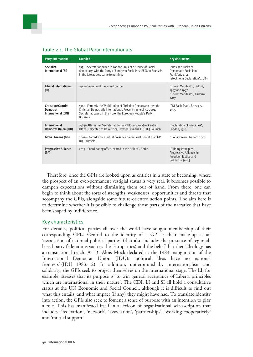| <b>Party international</b>                                                                     | <b>Founded</b>                                                                                                                                                                                             | <b>Key documents</b>                                                                             |  |
|------------------------------------------------------------------------------------------------|------------------------------------------------------------------------------------------------------------------------------------------------------------------------------------------------------------|--------------------------------------------------------------------------------------------------|--|
| <b>Socialist</b><br>International (SI)                                                         | 1951-Secretariat based in London. Talk of a 'House of Social-<br>democracy' with the Party of European Socialists (PES), in Brussels<br>in the late 2000s, came to nothing.                                | 'Aims and Tasks of<br>Democratic Socialism'.<br>Frankfurt, 1951<br>'Stockholm Declaration', 1989 |  |
| Liberal International<br>(LI)                                                                  | 1947-Secretariat based in London                                                                                                                                                                           | 'Liberal Manifesto', Oxford,<br>1947 and 1997<br>'Liberal Manifesto', Andorra,<br>2017           |  |
| Christian/Centrist<br><b>Democrat</b><br>International (CDI)                                   | 1961–Formerly the World Union of Christian Democrats; then the<br>Christian Democratic International. Present name since 2001.<br>Secretariat based in the HQ of the European People's Party,<br>Brussels. | 'CDI Basic Plan', Brussels,<br>1995                                                              |  |
| <b>International</b><br>Democrat Union (IDU)                                                   | 1983-Alternating Secretariat. Initially UK Conservative Central<br>Office. Relocated to Oslo (2005). Presently in the CSU HQ, Munich.                                                                      | 'Declaration of Principles',<br>London, 1983                                                     |  |
| Global Greens (GG)                                                                             | 2001-Started with a virtual presence. Secretariat now at the EGP<br>HQ, Brussels.                                                                                                                          | 'Global Green Charter', 2001                                                                     |  |
| <b>Progressive Alliance</b><br>2013–Coordinating office located in the SPD HQ, Berlin.<br>(PA) |                                                                                                                                                                                                            | 'Guiding Principles:<br>Progressive Alliance for<br>Freedom, Justice and<br>Solidarity' [n.d.]   |  |

#### Table 2.1. The Global Party Internationals

Therefore, once the GPIs are looked upon as entities in a state of becoming, where the prospect of an ever-permanent vestigial status is very real, it becomes possible to dampen expectations without dismissing them out of hand. From there, one can begin to think about the sorts of strengths, weaknesses, opportunities and threats that accompany the GPIs, alongside some future-oriented action points. The aim here is to determine whether it is possible to challenge those parts of the narrative that have been shaped by indifference.

#### Key characteristics

For decades, political parties all over the world have sought membership of their corresponding GPIs. Central to the identity of a GPI is their make-up as an 'association of national political parties' (that also includes the presence of regionalbased party federations such as the Europarties) and the belief that their ideology has a transnational reach. As Dr Alois Mock declared at the 1983 inauguration of the International Democrat Union (IDU): 'political ideas have no national frontiers' (IDU 1983: 2). In addition, underpinned by internationalism and solidarity, the GPIs seek to project themselves on the international stage. The LI, for example, stresses that its purpose is 'to win general acceptance of Liberal principles which are international in their nature'. The CDI, LI and SI all hold a consultative status at the UN Economic and Social Council, although it is difficult to find out what this entails, and what impact (if any) they might have had. To translate identity into action, the GPIs also seek to foment a sense of purpose with an intention to play a role. This has manifested itself in a lexicon of organizational self-ascription that includes: 'federation', 'network', 'association', 'partnerships', 'working cooperatively' and 'mutual support'.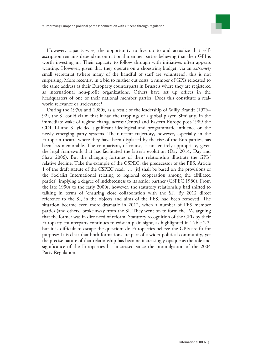

However, capacity-wise, the opportunity to live up to and actualize that selfascription remains dependent on national member parties believing that their GPI is worth investing in. Their capacity to follow through with initiatives often appears wanting. However, given that they operate on a shoestring budget, via an *extremely* small secretariat (where many of the handful of staff are volunteers), this is not surprising. More recently, in a bid to further cut costs, a number of GPIs relocated to the same address as their Europarty counterparts in Brussels where they are registered as international non-profit organizations. Others have set up offices in the headquarters of one of their national member parties. Does this constitute a realworld relevance or irrelevance?

During the 1970s and 1980s, as a result of the leadership of Willy Brandt (1976– 92), the SI could claim that it had the trappings of a global player. Similarly, in the immediate wake of regime change across Central and Eastern Europe post-1989 the CDI, LI and SI yielded significant ideological and programmatic influence on the newly emerging party systems. Their recent trajectory, however, especially in the European theatre where they have been displaced by the rise of the Europarties, has been less memorable. The comparison, of course, is not entirely appropriate, given the legal framework that has facilitated the latter's evolution (Day 2014; Day and Shaw 2006). But the changing fortunes of their relationship illustrate the GPIs' relative decline. Take the example of the CSPEC, the predecessor of the PES. Article 1 of the draft statute of the CSPEC read: '… [it] shall be based on the provisions of the Socialist International relating to regional cooperation among the affiliated parties', implying a degree of indebtedness to its senior partner (CSPEC 1980). From the late 1990s to the early 2000s, however, the statutory relationship had shifted to talking in terms of 'ensuring close collaboration with the SI'. By 2012 direct reference to the SI, in the objects and aims of the PES, had been removed. The situation became even more dramatic in 2012, when a number of PES member parties (and others) broke away from the SI. They went on to form the PA, arguing that the former was in dire need of reform. Statutory recognition of the GPIs by their Europarty counterparts continues to exist in plain sight, as highlighted in Table 2.2, but it is difficult to escape the question: do Europarties believe the GPIs are fit for purpose? It is clear that both formations are part of a wider political community, yet the precise nature of that relationship has become increasingly opaque as the role and significance of the Europarties has increased since the promulgation of the 2004 Party Regulation.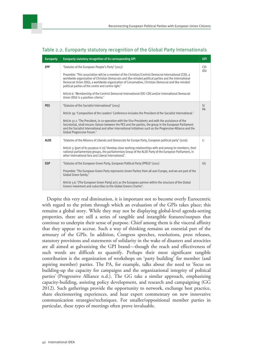| <b>Europarty</b> | Europarty statutory recognition of its corresponding GPI                                                                                                                                                                                                                                                                                                                    | <b>GPI</b>          |
|------------------|-----------------------------------------------------------------------------------------------------------------------------------------------------------------------------------------------------------------------------------------------------------------------------------------------------------------------------------------------------------------------------|---------------------|
| <b>EPP</b>       | 'Statutes of the European People's Party' (2017)                                                                                                                                                                                                                                                                                                                            | <b>CDI</b><br>IDU   |
|                  | Preamble: 'This association will be a member of the Christian/Centrist Democrat International (CDI), a<br>worldwide organization of Christian Democrats and like-minded political parties and the International<br>Democrat Union (IDU), a worldwide organization of Conservative, Christian Democrat and like-minded<br>political parties of the centre and centre right.' |                     |
|                  | Article 6: 'Membership of the Centrist Democrat International (IDC-CDI) and/or International Democrat<br>Union (IDU) is a positive criteria.'                                                                                                                                                                                                                               |                     |
| <b>PES</b>       | 'Statutes of the Socialist International' (2015)                                                                                                                                                                                                                                                                                                                            | <sub>SI</sub><br>PA |
|                  | Article 39: 'Composition of the Leaders' Conference includes the President of the Socialist International.'                                                                                                                                                                                                                                                                 |                     |
|                  | Article 37.1: 'The President, in co-operation with the Vice-Presidents and with the assistance of the<br>Secretariat, shall ensure: liaison between the PES and the parties, the group in the European Parliament<br>and the Socialist International and other international initiatives such as the Progressive Alliance and the<br>Global Progressive Forum.'             |                     |
| <b>ALDE</b>      | 'Statutes of the Alliance of Liberals and Democrats for Europe Party, European political party' (2016)                                                                                                                                                                                                                                                                      | $\mathsf{L}$        |
|                  | Article 3: [part of its purpose is to] 'develop close working relationships with and among its members, their<br>national parliamentary groups, the parliamentary Group of the ALDE Party of the European Parliament, in<br>other international fora and Liberal International'.                                                                                            |                     |
| <b>EGP</b>       | 'Statutes of the European Green Party, European Political Party (PPEU)' (2011)                                                                                                                                                                                                                                                                                              | GG                  |
|                  | Preamble: 'The European Green Party represents Green Parties from all over Europe, and we are part of the<br>Global Green family.'                                                                                                                                                                                                                                          |                     |
|                  | Article 3.6: '[The European Green Party] acts as the European partner within the structure of the Global<br>Greens movement and subscribes to the Global Greens Charter'.                                                                                                                                                                                                   |                     |

#### Table 2.2. Europarty statutory recognition of the Global Party Internationals

Despite this very real diminution, it is important not to become overly Eurocentric with regard to the prism through which an evaluation of the GPIs takes place; this remains a global story. While they may not be displaying global-level agenda-setting properties, there are still a series of tangible and intangible features/outputs that continue to underpin their sense of purpose. Chief among them is the visceral affinity that they appear to accrue. Such a way of thinking remains an essential part of the armoury of the GPIs. In addition, Congress speeches, resolutions, press releases, statutory provisions and statements of solidarity in the wake of disasters and atrocities are all aimed at galvanizing the GPI brand—though the reach and effectiveness of such words are difficult to quantify. Perhaps their most significant tangible contribution is the organization of workshops on 'party building' for member (and aspiring member) parties. The PA, for example, talks about the need to 'focus on building-up the capacity for campaigns and the organizational integrity of political parties' (Progressive Alliance n.d.). The GG take a similar approach, emphasizing capacity-building, assisting policy development, and research and campaigning (GG 2012). Such gatherings provide the opportunity to network, exchange best practice, share electioneering experiences, and hear expert commentary on new innovative communication strategies/techniques. For smaller/oppositional member parties in particular, these types of meetings often prove invaluable.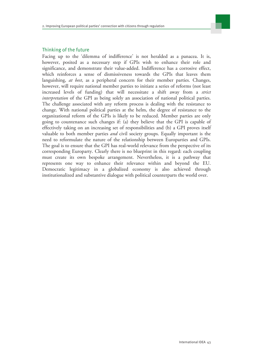

#### Thinking of the future

Facing up to the 'dilemma of indifference' is not heralded as a panacea. It is, however, posited as a necessary step if GPIs wish to enhance their role and significance, and demonstrate their value-added. Indifference has a corrosive effect, which reinforces a sense of dismissiveness towards the GPIs that leaves them languishing, *at best*, as a peripheral concern for their member parties. Changes, however, will require national member parties to initiate a series of reforms (not least increased levels of funding) that will necessitate a shift away from a *strict interpretation* of the GPI as being solely an association of national political parties. The challenge associated with any reform process is dealing with the resistance to change. With national political parties at the helm, the degree of resistance to the organizational reform of the GPIs is likely to be reduced. Member parties are only going to countenance such changes if: (a) they believe that the GPI is capable of effectively taking on an increasing set of responsibilities and (b) a GPI proves itself valuable to both member parties *and* civil society groups. Equally important is the need to reformulate the nature of the relationship between Europarties and GPIs. The goal is to ensure that the GPI has real-world relevance from the perspective of its corresponding Europarty. Clearly there is no blueprint in this regard: each coupling must create its own bespoke arrangement. Nevertheless, it is a pathway that represents one way to enhance their relevance within and beyond the EU. Democratic legitimacy in a globalized economy is also achieved through institutionalized and substantive dialogue with political counterparts the world over.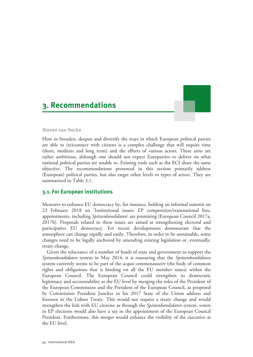### <span id="page-43-0"></span>**3. Recommendations**

#### **Steven van Hecke**

How to broaden, deepen and diversify the ways in which European political parties are able to (re)connect with citizens is a complex challenge that will require time (short, medium and long term) and the efforts of various actors. These aims are rather ambitious, although one should not expect Europarties to deliver on what national political parties are unable to. Existing tools such as the ECI share the same objective. The recommendations presented in this section primarily address (European) political parties, but also target other levels or types of actors. They are summarized in Table 3.1.

#### **3.1. For European institutions**

Measures to enhance EU democracy by, for instance, holding an informal summit on 23 February 2018 on 'Institutional issues: EP composition/transnational lists, appointments, including *Spitzenkandidaten*' are promising (European Council 2017a, 2017b). Proposals related to these issues are aimed at strengthening electoral and participative EU democracy. Yet recent developments demonstrate that the atmosphere can change rapidly and easily. Therefore, in order to be sustainable, some changes need to be legally anchored by amending existing legislation or, eventually, treaty change.

Given the reluctance of a number of heads of state and government to support the *Spitzenkandidaten* system in May 2014, it is reassuring that the *Spitzenkandidaten* system currently seems to be part of the *acquis communautaire* (the body of common rights and obligations that is binding on all the EU member states) within the European Council. The European Council could strengthen its democratic legitimacy and accountability at the EU level by merging the roles of the President of the European Commission and the President of the European Council, as proposed by Commission President Juncker in his 2017 State of the Union address and foreseen in the Lisbon Treaty. This would not require a treaty change and would strengthen the link with EU citizens: as through the *Spitzenkandidaten* system, voters in EP elections would also have a say in the appointment of the European Council President. Furthermore, this merger would enhance the visibility of the executive at the EU level.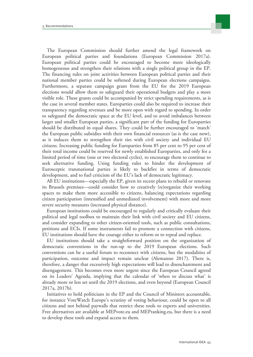

The European Commission should further amend the legal framework on European political parties and foundations (European Commission 2017a). European political parties could be encouraged to become more ideologically homogeneous and strengthen their relations with a single political group in the EP. The financing rules on joint activities between European political parties and their national member parties could be softened during European elections campaigns. Furthermore, a separate campaign grant from the EU for the 2019 European elections would allow them to safeguard their operational budgets and play a more visible role. These grants could be accompanied by strict spending requirements, as is the case in several member states. Europarties could also be required to increase their transparency regarding revenues and be more open with regard to spending. In order to safeguard the democratic space at the EU level, and to avoid imbalances between larger and smaller European parties, a significant part of the funding for Europarties should be distributed in equal shares. They could be further encouraged to 'match' the European public subsidies with their own financial resources (as is the case now), as it induces them to strengthen their ties with civil society and individual EU citizens. Increasing public funding for Europarties from 85 per cent to 95 per cent of their total income could be reserved for newly established Europarties, and only for a limited period of time (one or two electoral cycles), to encourage them to continue to seek alternative funding. Using funding rules to hinder the development of Eurosceptic transnational parties is likely to backfire in terms of democratic development, and to fuel criticism of the EU's lack of democratic legitimacy.

All EU institutions—especially the EP, given its recent plans to rebuild or renovate its Brussels premises—could consider how to creatively (re)organize their working spaces to make them more accessible to citizens, balancing expectations regarding citizen participation (intensified and unmediated involvement) with more and more severe security measures (increased physical distance).

European institutions could be encouraged to regularly and critically evaluate their political and legal toolbox to maintain their link with civil society and EU citizens, and consider expanding to other citizen-oriented tools, such as public consultations, petitions and ECIs. If some instruments fail to promote a connection with citizens, EU institutions should have the courage either to reform or to repeal and replace.

EU institutions should take a straightforward position on the organization of democratic conventions in the run-up to the 2019 European elections. Such conventions can be a useful forum to reconnect with citizens, but the modalities of participation, outcome and impact remain unclear (Alemanno 2017). There is, therefore, a danger that excessively high expectations will lead to disenchantment and disengagement. This becomes even more urgent since the European Council agreed on its Leaders' Agenda, implying that the calendar of 'when to discuss what' is already more or less set until the 2019 elections, and even beyond (European Council 2017a, 2017b).

Initiatives to hold politicians in the EP and the Council of Ministers accountable, for instance VoteWatch Europe's scrutiny of voting behaviour, could be open to all citizens and not behind paywalls that restrict these tools to experts and universities. Free alternatives are available at MEPvote.eu and MEPranking.eu, but there is a need to develop these tools and expand access to them.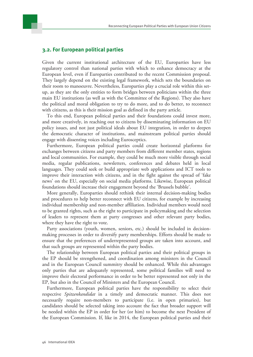#### **3.2. For European political parties**

Given the current institutional architecture of the EU, Europarties have less regulatory control than national parties with which to enhance democracy at the European level, even if Europarties contributed to the recent Commission proposal. They largely depend on the existing legal framework, which sets the boundaries on their room to manoeuvre. Nevertheless, Europarties play a crucial role within this setup, as they are the only entities to form bridges between politicians within the three main EU institutions (as well as with the Committee of the Regions). They also have the political and moral obligation to try to do more, and to do better, to reconnect with citizens, as this is their mission goal as defined in the party article.

To this end, European political parties and their foundations could invest more, and more creatively, in reaching out to citizens by disseminating information on EU policy issues, and not just political ideals about EU integration, in order to deepen the democratic character of institutions, and mainstream political parties should engage with dissenting voices including Eurosceptics.

Furthermore, European political parties could create horizontal platforms for exchanges between citizens and party members from different member states, regions and local communities. For example, they could be much more visible through social media, regular publications, newsletters, conferences and debates held in local languages. They could seek or build appropriate web applications and ICT tools to improve their interaction with citizens, and in the fight against the spread of 'fake news' on the EU, especially on social media platforms. Likewise, European political foundations should increase their engagement beyond the 'Brussels bubble'.

More generally, Europarties should rethink their internal decision-making bodies and procedures to help better reconnect with EU citizens, for example by increasing individual membership and non-member affiliation. Individual members would need to be granted rights, such as the right to participate in policymaking and the selection of leaders to represent them at party congresses and other relevant party bodies, where they have the right to vote.

Party associations (youth, women, seniors, etc.) should be included in decisionmaking processes in order to diversify party memberships. Efforts should be made to ensure that the preferences of underrepresented groups are taken into account, and that such groups are represented within the party bodies.

The relationship between European political parties and their political groups in the EP should be strengthened, and coordination among ministers in the Council and in the European Council summitry should be enhanced. While this advantages only parties that are adequately represented, some political families will need to improve their electoral performance in order to be better represented not only in the EP, but also in the Council of Ministers and the European Council.

Furthermore, European political parties have the responsibility to select their respective *Spitzenkandidat* in a timely and democratic manner. This does not necessarily require non-members to participate (i.e. in open primaries), but candidates should be selected taking into account the fact that broader support will be needed within the EP in order for her (or him) to become the next President of the European Commission. If, like in 2014, the European political parties and their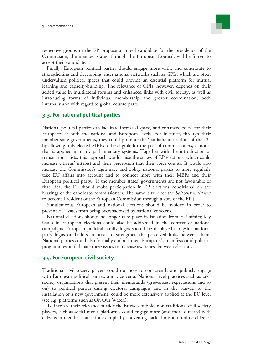

respective groups in the EP propose a united candidate for the presidency of the Commission, the member states, through the European Council, will be forced to accept their candidate.

Finally, European political parties should engage more with, and contribute to strengthening and developing, international networks such as GPIs, which are often undervalued political spaces that could provide an essential platform for mutual learning and capacity-building. The relevance of GPIs, however, depends on their added value in multilateral forums and enhanced links with civil society, as well as introducing forms of individual membership and greater coordination, both internally and with regard to global counterparts.

#### **3.3. For national political parties**

National political parties can facilitate increased space, and enhanced roles, for their Europarty at both the national and European levels. For instance, through their member state governments, they could promote the 'parliamentarization' of the EU by allowing only elected MEPs to be eligible for the post of commissioners, a model that is applied in many parliamentary systems. Together with the introduction of transnational lists, this approach would raise the stakes of EP elections, which could increase citizens' interest and their perception that their voice counts. It would also increase the Commission's legitimacy and oblige national parties to more regularly take EU affairs into account and to connect more with their MEPs and their European political party. (If the member states' governments are not favourable of that idea, the EP should make participation in EP elections conditional on the hearings of the candidate-commissioners. The same is true for the *Spitzenkandidaten* to become President of the European Commission through a vote of the EP.)

Simultaneous European and national elections should be avoided in order to prevent EU issues from being overshadowed by national concerns.

National elections should no longer take place in isolation from EU affairs; key issues in European elections could also be addressed in the context of national campaigns. European political family logos should be displayed alongside national party logos on ballots in order to strengthen the perceived links between them. National parties could also formally endorse their Europarty's manifesto and political programmes, and debate these issues to increase awareness between elections.

#### **3.4. For European civil society**

Traditional civil society players could do more to consistently and publicly engage with European political parties, and vice versa. National-level practices such as civil society organizations that present their memoranda (grievances, expectations and so on) to political parties during electoral campaigns and in the run-up to the installation of a new government, could be more extensively applied at the EU level (see e.g. platforms such as On Our Watch).

To increase their relevance outside the Brussels bubble, non-traditional civil society players, such as social media platforms, could engage more (and more directly) with citizens in member states, for example by convening hackathons and online citizens'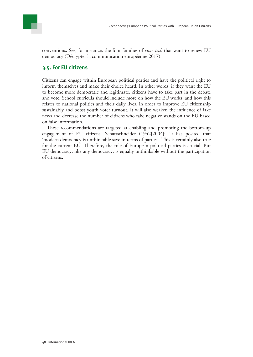



conventions. See, for instance, the four families of *civic tech* that want to renew EU democracy (Décrypter la communication européenne 2017).

#### **3.5. For EU citizens**

Citizens can engage within European political parties and have the political right to inform themselves and make their choice heard. In other words, if they want the EU to become more democratic and legitimate, citizens have to take part in the debate and vote. School curricula should include more on how the EU works, and how this relates to national politics and their daily lives, in order to improve EU citizenship sustainably and boost youth voter turnout. It will also weaken the influence of fake news and decrease the number of citizens who take negative stands on the EU based on false information.

These recommendations are targeted at enabling and promoting the bottom-up engagement of EU citizens. Schattschneider (1942[2004]: 1) has posited that 'modern democracy is unthinkable save in terms of parties'. This is certainly also true for the current EU. Therefore, the role of European political parties is crucial. But EU democracy, like any democracy, is equally unthinkable without the participation of citizens.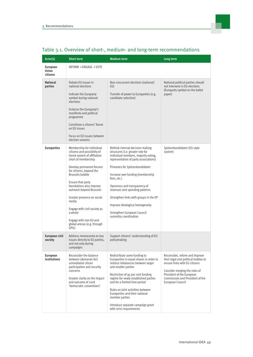| Actor(s)                        | <b>Short term</b>                                                                                                                                                                                                                                                                                                                                                                                                                        | <b>Medium term</b>                                                                                                                                                                                                                                                                                                                                                                                                                                  | Long term                                                                                                                                                                                                                    |
|---------------------------------|------------------------------------------------------------------------------------------------------------------------------------------------------------------------------------------------------------------------------------------------------------------------------------------------------------------------------------------------------------------------------------------------------------------------------------------|-----------------------------------------------------------------------------------------------------------------------------------------------------------------------------------------------------------------------------------------------------------------------------------------------------------------------------------------------------------------------------------------------------------------------------------------------------|------------------------------------------------------------------------------------------------------------------------------------------------------------------------------------------------------------------------------|
| European<br>Union<br>citizens   | INFORM -> ENGAGE -> VOTE                                                                                                                                                                                                                                                                                                                                                                                                                 |                                                                                                                                                                                                                                                                                                                                                                                                                                                     |                                                                                                                                                                                                                              |
| <b>National</b><br>parties      | Debate EU issues in<br>national elections<br>Indicate the Europarty<br>symbol during national<br>elections<br>Endorse the Europarty's<br>manifesto and political<br>programme<br>Constitute a citizens' forum<br>on EU issues<br>Focus on EU issues between<br>election seasons                                                                                                                                                          | Non-concurrent elections (national/<br>EU)<br>Transfer of power to Europarties (e.g.<br>candidate selection)                                                                                                                                                                                                                                                                                                                                        | National political parties should<br>not intervene in EU elections<br>(Europarty symbol on the ballot<br>paper)                                                                                                              |
| <b>Europarties</b>              | Membership for individual<br>citizens and possibility of<br>tiered system of affiliation<br>short of membership<br>Develop permanent forums<br>for citizens, beyond the<br>Brussels bubble<br>Ensure that party<br>foundations also improve<br>outreach beyond Brussels<br>Greater presence on social<br>media<br>Engage with civil society as<br>a whole<br>Engage with non-EU and<br>global arenas (e.g. through<br>GPI <sub>S</sub> ) | Rethink internal decision-making<br>structures (i.e. greater role for<br>individual members, majority voting,<br>representation of party associations)<br>Primaries for Spitzenkandidaten<br>Increase own funding (membership<br>fees, etc.)<br>Openness and transparency of<br>revenues and spending patterns<br>Strengthen links with groups in the EP<br>Improve ideological homogeneity<br>Strengthen European Council<br>summitry coordination | Spitzenkandidaten (US-style<br>system)                                                                                                                                                                                       |
| European civil<br>society       | Address memoranda on key<br>issues directly to EU parties.<br>and not only during<br>campaigns                                                                                                                                                                                                                                                                                                                                           | Support citizens' understanding of EU<br>policymaking                                                                                                                                                                                                                                                                                                                                                                                               |                                                                                                                                                                                                                              |
| <b>European</b><br>institutions | Reconsider the balance<br>between (demands for)<br>unmediated citizen<br>participation and security<br>concerns<br>Greater clarity on the impact<br>and outcome of 2018<br>'democratic conventions'                                                                                                                                                                                                                                      | Redistribute some funding to<br>Europarties in equal shares in order to<br>redress imbalances between larger<br>and smaller parties<br>Restriction of 95 per cent funding<br>regime for newly established parties<br>and for a limited time period<br>Rules on joint activities between<br>Europarties and their national<br>member parties<br>Introduce separate campaign grant<br>with strict requirements                                        | Reconsider, reform and improve<br>their legal and political toolbox to<br>ensure links with EU citizens<br>Consider merging the roles of<br>President of the European<br>Commission and President of the<br>European Council |

### Table 3.1. Overview of short-, medium- and long-term recommendations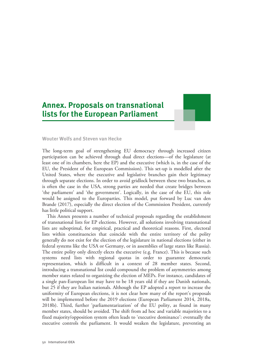### <span id="page-49-0"></span>**Annex. Proposals on transnational lists for the European Parliament**



#### **Wouter Wolfs and Steven van Hecke**

The long-term goal of strengthening EU democracy through increased citizen participation can be achieved through dual direct elections—of the legislature (at least one of its chambers, here the EP) and the executive (which is, in the case of the EU, the President of the European Commission). This set-up is modelled after the United States, where the executive and legislative branches gain their legitimacy through separate elections. In order to avoid gridlock between these two branches, as is often the case in the USA, strong parties are needed that create bridges between 'the parliament' and 'the government'. Logically, in the case of the EU, this role would be assigned to the Europarties. This model, put forward by Luc van den Brande (2017), especially the direct election of the Commission President, currently has little political support.

This Annex presents a number of technical proposals regarding the establishment of transnational lists for EP elections. However, all solutions involving transnational lists are suboptimal, for empirical, practical and theoretical reasons. First, electoral lists within constituencies that coincide with the entire territory of the polity generally do not exist for the election of the legislature in national elections (either in federal systems like the USA or Germany, or in assemblies of large states like Russia). The entire polity only directly elects the executive (e.g. France). This is because such systems need lists with regional quotas in order to guarantee democratic representation, which is difficult in a context of 28 member states. Second, introducing a transnational list could compound the problem of asymmetries among member states related to organizing the election of MEPs. For instance, candidates of a single pan-European list may have to be 18 years old if they are Danish nationals, but 25 if they are Italian nationals. Although the EP adopted a report to increase the uniformity of European elections, it is not clear how many of the report's proposals will be implemented before the 2019 elections (European Parliament 2014, 2018a, 2018b). Third, further 'parliamentarization' of the EU polity, as found in many member states, should be avoided. The shift from ad hoc and variable majorities to a fixed majority/opposition system often leads to 'executive dominance': eventually the executive controls the parliament. It would weaken the legislature, preventing an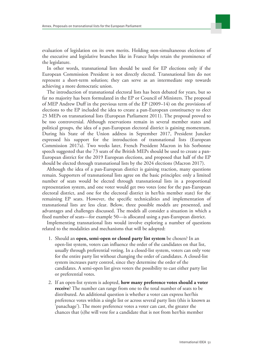

evaluation of legislation on its own merits. Holding non-simultaneous elections of the executive and legislative branches like in France helps retain the prominence of the legislature.

In other words, transnational lists should be used for EP elections only if the European Commission President is not directly elected. Transnational lists do not represent a short-term solution; they can serve as an intermediate step towards achieving a more democratic union.

The introduction of transnational electoral lists has been debated for years, but so far no majority has been formulated in the EP or Council of Ministers. The proposal of MEP Andrew Duff in the previous term of the EP (2009–14) on the provisions of elections to the EP included the idea to create a pan-European constituency to elect 25 MEPs on transnational lists (European Parliament 2011). The proposal proved to be too controversial. Although reservations remain in several member states and political groups, the idea of a pan-European electoral district is gaining momentum. During his State of the Union address in September 2017, President Juncker expressed his support for the introduction of transnational lists (European Commission 2017a). Two weeks later, French President Macron in his Sorbonne speech suggested that the 73 seats of the British MEPs should be used to create a pan-European district for the 2019 European elections, and proposed that half of the EP should be elected through transnational lists by the 2024 elections (Macron 2017).

Although the idea of a pan-European district is gaining traction, many questions remain. Supporters of transnational lists agree on the basic principles: only a limited number of seats would be elected through transnational lists in a proportional representation system, and one voter would get two votes (one for the pan-European electoral district, and one for the electoral district in her/his member state) for the remaining EP seats. However, the specific technicalities and implementation of transnational lists are less clear. Below, three possible models are presented, and advantages and challenges discussed. The models all consider a situation in which a fixed number of seats—for example 50—is allocated using a pan-European district.

Implementing transnational lists would involve exploring a number of questions related to the modalities and mechanisms that will be adopted:

- 1. Should an **open, semi-open or closed party list system** be chosen? In an open-list system, voters can influence the order of the candidates on that list, usually through preferential voting. In a closed-list system, voters can only vote for the entire party list without changing the order of candidates. A closed-list system increases party control, since they determine the order of the candidates. A semi-open list gives voters the possibility to cast either party list or preferential votes.
- 2. If an open-list system is adopted, **how many preference votes should a voter receive**? The number can range from one to the total number of seats to be distributed. An additional question is whether a voter can express her/his preference votes within a single list or across several party lists (this is known as 'panachage'). The more preference votes a voter can cast, the greater the chances that (s)he will vote for a candidate that is not from her/his member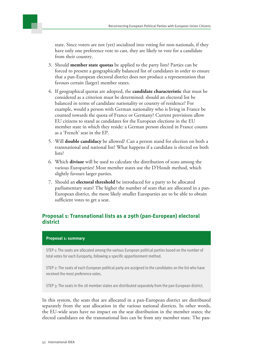state. Since voters are not (yet) socialized into voting for non-nationals, if they have only one preference vote to cast, they are likely to vote for a candidate from their country.

- 3. Should **member state quotas** be applied to the party lists? Parties can be forced to present a geographically balanced list of candidates in order to ensure that a pan-European electoral district does not produce a representation that favours certain (larger) member states.
- 4. If geographical quotas are adopted, the **candidate characteristic** that must be considered as a criterion must be determined: should an electoral list be balanced in terms of candidate nationality or country of residence? For example, would a person with German nationality who is living in France be counted towards the quota of France or Germany? Current provisions allow EU citizens to stand as candidates for the European elections in the EU member state in which they reside: a German person elected in France counts as a 'French' seat in the EP.
- 5. Will **double candidacy** be allowed? Can a person stand for election on both a transnational and national list? What happens if a candidate is elected on both lists?
- 6. Which **divisor** will be used to calculate the distribution of seats among the various Europarties? Most member states use the D'Hondt method, which slightly favours larger parties.
- 7. Should an **electoral threshold** be introduced for a party to be allocated parliamentary seats? The higher the number of seats that are allocated in a pan-European district, the more likely smaller Europarties are to be able to obtain sufficient votes to get a seat.

#### **Proposal 1: Transnational lists as a 29th (pan-European) electoral district**

#### **Proposal 1: summary**

STEP 1: The seats are allocated among the various European political parties based on the number of total votes for each Europarty, following a specific apportionment method.

STEP 2: The seats of each European political party are assigned to the candidates on the list who have received the most preference votes.

STEP 3: The seats in the 28 member states are distributed separately from the pan-European district.

In this system, the seats that are allocated in a pan-European district are distributed separately from the seat allocation in the various national districts. In other words, the EU-wide seats have no impact on the seat distribution in the member states; the elected candidates on the transnational lists can be from any member state. The pan-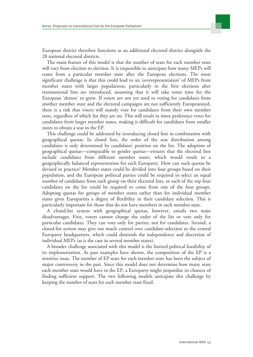

European district therefore functions as an additional electoral district alongside the 28 national electoral districts.

The main feature of this model is that the number of seats for each member state will vary from election to election. It is impossible to anticipate how many MEPs will come from a particular member state after the European elections. The most significant challenge is that this could lead to an 'overrepresentation' of MEPs from member states with larger populations, particularly in the first elections after transnational lists are introduced, assuming that it will take some time for the European 'demos' to grow. If voters are not yet used to voting for candidates from another member state and the electoral campaigns are not sufficiently Europeanized, there is a risk that voters will mainly vote for candidates from their own member state, regardless of which list they are on. This will result in more preference votes for candidates from larger member states, making it difficult for candidates from smaller states to obtain a seat in the EP.

This challenge could be addressed by introducing closed lists in combination with geographical quotas. In closed lists, the order of the seat distribution among candidates is only determined by candidates' position on the list. The adoption of geographical quotas—comparable to gender quotas—ensures that the electoral lists include candidates from different member states, which would result in a geographically balanced representation for each Europarty. How can such quotas be devised in practice? Member states could be divided into four groups based on their population, and the European political parties could be required to select an equal number of candidates from each group on their electoral lists, or each of the top four candidates on the list could be required to come from one of the four groups. Adopting quotas for groups of member states rather than for individual member states gives Europarties a degree of flexibility in their candidate selection. This is particularly important for those that do not have members in each member state.

A closed-list system with geographical quotas, however, entails two main disadvantages. First, voters cannot change the order of the list or vote only for particular candidates. They can vote only for parties, not for candidates. Second, a closed-list system may give too much control over candidate-selection to the central Europarty headquarters, which could diminish the independence and discretion of individual MEPs (as is the case in several member states).

A broader challenge associated with this model is the limited political feasibility of its implementation. As past examples have shown, the composition of the EP is a sensitive issue. The number of EP seats for each member state has been the subject of major controversy in the past. Since this model does not determine how many seats each member state would have in the EP, a Europarty might jeopardize its chances of finding sufficient support. The two following models anticipate this challenge by keeping the number of seats for each member state fixed.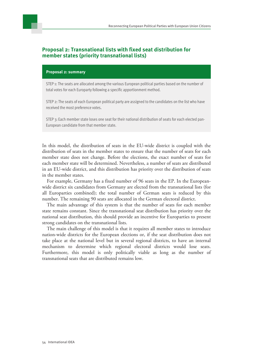#### **Proposal 2: Transnational lists with fixed seat distribution for member states (priority transnational lists)**

#### **Proposal 2: summary**

STEP 1: The seats are allocated among the various European political parties based on the number of total votes for each Europarty following a specific apportionment method.

STEP 2: The seats of each European political party are assigned to the candidates on the list who have received the most preference votes.

STEP 3: Each member state loses one seat for their national distribution of seats for each elected pan-European candidate from that member state.

In this model, the distribution of seats in the EU-wide district is coupled with the distribution of seats in the member states to ensure that the number of seats for each member state does not change. Before the elections, the exact number of seats for each member state will be determined. Nevertheless, a number of seats are distributed in an EU-wide district, and this distribution has priority over the distribution of seats in the member states.

For example, Germany has a fixed number of 96 seats in the EP. In the Europeanwide district six candidates from Germany are elected from the transnational lists (for all Europarties combined); the total number of German seats is reduced by this number. The remaining 90 seats are allocated in the German electoral district.

The main advantage of this system is that the number of seats for each member state remains constant. Since the transnational seat distribution has priority over the national seat distribution, this should provide an incentive for Europarties to present strong candidates on the transnational lists.

The main challenge of this model is that it requires all member states to introduce nation-wide districts for the European elections or, if the seat distribution does not take place at the national level but in several regional districts, to have an internal mechanism to determine which regional electoral districts would lose seats. Furthermore, this model is only politically viable as long as the number of transnational seats that are distributed remains low.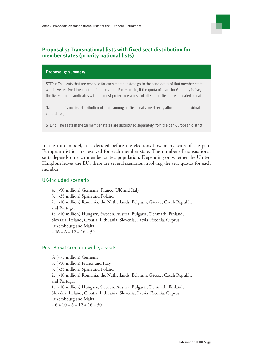

#### **Proposal 3: Transnational lists with fixed seat distribution for member states (priority national lists)**

#### **Proposal 3: summary**

STEP 1: The seats that are reserved for each member state go to the candidates of that member state who have received the most preference votes. For example, if the quota of seats for Germany is five, the five German candidates with the most preference votes—of all Europarties—are allocated a seat.

(Note: there is no first distribution of seats among parties; seats are directly allocated to individual candidates).

STEP 2: The seats in the 28 member states are distributed separately from the pan-European district.

In the third model, it is decided before the elections how many seats of the pan-European district are reserved for each member state. The number of transnational seats depends on each member state's population. Depending on whether the United Kingdom leaves the EU, there are several scenarios involving the seat quotas for each member.

#### UK-included scenario

4: (>50 million) Germany, France, UK and Italy 3: (>35 million) Spain and Poland 2: (>10 million) Romania, the Netherlands, Belgium, Greece, Czech Republic and Portugal 1: (<10 million) Hungary, Sweden, Austria, Bulgaria, Denmark, Finland, Slovakia, Ireland, Croatia, Lithuania, Slovenia, Latvia, Estonia, Cyprus, Luxembourg and Malta  $= 16 + 6 + 12 + 16 = 50$ 

#### Post-Brexit scenario with 50 seats

6: (>75 million) Germany 5: (>50 million) France and Italy 3: (>35 million) Spain and Poland 2: (>10 million) Romania, the Netherlands, Belgium, Greece, Czech Republic and Portugal 1: (<10 million) Hungary, Sweden, Austria, Bulgaria, Denmark, Finland, Slovakia, Ireland, Croatia, Lithuania, Slovenia, Latvia, Estonia, Cyprus, Luxembourg and Malta  $= 6 + 10 + 6 + 12 + 16 = 50$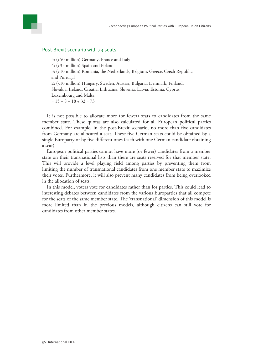

#### Post-Brexit scenario with 73 seats

5: (>50 million) Germany, France and Italy 4: (>35 million) Spain and Poland 3: (>10 million) Romania, the Netherlands, Belgium, Greece, Czech Republic and Portugal 2: (<10 million) Hungary, Sweden, Austria, Bulgaria, Denmark, Finland, Slovakia, Ireland, Croatia, Lithuania, Slovenia, Latvia, Estonia, Cyprus, Luxembourg and Malta  $= 15 + 8 + 18 + 32 = 73$ 

It is not possible to allocate more (or fewer) seats to candidates from the same member state. These quotas are also calculated for all European political parties combined. For example, in the post-Brexit scenario, no more than five candidates from Germany are allocated a seat. These five German seats could be obtained by a single Europarty or by five different ones (each with one German candidate obtaining a seat).

European political parties cannot have more (or fewer) candidates from a member state on their transnational lists than there are seats reserved for that member state. This will provide a level playing field among parties by preventing them from limiting the number of transnational candidates from one member state to maximize their votes. Furthermore, it will also prevent many candidates from being overlooked in the allocation of seats.

In this model, voters vote for candidates rather than for parties. This could lead to interesting debates between candidates from the various Europarties that all compete for the seats of the same member state. The 'transnational' dimension of this model is more limited than in the previous models, although citizens can still vote for candidates from other member states.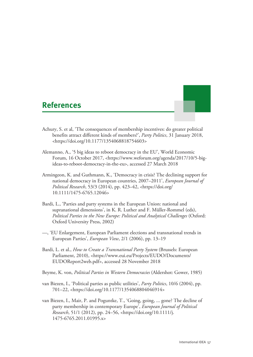### <span id="page-56-0"></span>**References**

- 
- Achury, S. et al, 'The consequences of membership incentives: do greater political benefits attract different kinds of members?', *Party Politics*, 31 January 2018, [<https://doi.org/10.1177/1354068818754603>](https://doi.org/10.1177/1354068818754603)
- Alemanno, A., '5 big ideas to reboot democracy in the EU', World Economic Forum, 16 October 2017, <[https://www.weforum.org/agenda/2017/10/5-big](https://www.weforum.org/agenda/2017/10/5-big-ideas-to-reboot-democracy-in-the-eu)[ideas-to-reboot-democracy-in-the-eu](https://www.weforum.org/agenda/2017/10/5-big-ideas-to-reboot-democracy-in-the-eu)>, accessed 27 March 2018
- Armingeon, K. and Guthmann, K., 'Democracy in crisis? The declining support for national democracy in European countries, 2007–2011', *European Journal of Political Research*, 53/3 (2014), pp. 423–42, <[https://doi.org/](https://doi.org/10.1111/1475-6765.12046) [10.1111/1475-6765.12046>](https://doi.org/10.1111/1475-6765.12046)
- Bardi, L., 'Parties and party systems in the European Union: national and supranational dimensions', in K. R. Luther and F. Müller-Rommel (eds), *Political Parties in the New Europe: Political and Analytical Challenges* (Oxford: Oxford University Press, 2002)
- —, 'EU Enlargement, European Parliament elections and transnational trends in European Parties', *European View*, 2/1 (2006), pp. 13–19
- Bardi, L. et al., *How to Create a Transnational Party System* (Brussels: European Parliament, 2010), <[https://www.eui.eu/Projects/EUDO/Documents/](https://www.eui.eu/Projects/EUDO/Documents/EUDOReport2web.pdf) [EUDOReport2web.pdf](https://www.eui.eu/Projects/EUDO/Documents/EUDOReport2web.pdf)>, accessed 28 November 2018
- Beyme, K. von, *Political Parties in Western Democracies* (Aldershot: Gower, 1985)
- van Biezen, I., 'Political parties as public utilities', *Party Politics*, 10/6 (2004), pp. 701–22, <[https://doi.org/10.1177/1354068804046914>](https://doi.org/10.1177/1354068804046914)
- van Biezen, I., Mair, P. and Poguntke, T., 'Going, going, ... gone? The decline of party membership in contemporary Europe', *European Journal of Political Research*, 51/1 (2012), pp. 24–56, <[https://doi.org/10.1111/j.](https://doi.org/10.1111/j.1475-6765.2011.01995.x) [1475-6765.2011.01995.x](https://doi.org/10.1111/j.1475-6765.2011.01995.x)>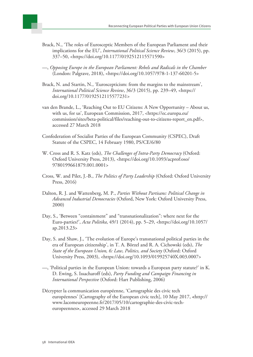- Brack, N., 'The roles of Eurosceptic Members of the European Parliament and their implications for the EU', *International Political Science Review*, 36/3 (2015), pp. 337–50, <[https://doi.org/10.1177/0192512115571590>](https://doi.org/10.1177/0192512115571590)
- —, *Opposing Europe in the European Parliament: Rebels and Radicals in the Chamber* (London: Palgrave, 2018), [<https://doi.org/10.1057/978-1-137-60201-5](https://doi.org/10.1057/978-1-137-60201-5)>
- Brack, N. and Startin, N., 'Euroscepticism: from the margins to the mainstream', *International Political Science Review*, 36/3 (2015), pp. 239–49, <[https://](https://doi.org/10.1177/0192512115577231) [doi.org/10.1177/0192512115577231](https://doi.org/10.1177/0192512115577231)>
- van den Brande, L., 'Reaching Out to EU Citizens: A New Opportunity About us, with us, for us', European Commission, 2017, <[https://ec.europa.eu/](https://ec.europa.eu/commission/sites/beta-political/files/reaching-out-to-citizens-report_en.pdf) [commission/sites/beta-political/files/reaching-out-to-citizens-report\\_en.pdf](https://ec.europa.eu/commission/sites/beta-political/files/reaching-out-to-citizens-report_en.pdf)>, accessed 27 March 2018
- Confederation of Socialist Parties of the European Community (CSPEC), Draft Statute of the CSPEC, 14 February 1980, PS/CE/6/80
- W. Cross and R. S. Katz (eds), *The Challenges of Intra-Party Democracy* (Oxford: Oxford University Press, 2013), [<https://doi.org/10.1093/acprof:oso/](https://doi.org/10.1093/acprof:oso/9780199661879.001.0001) [9780199661879.001.0001](https://doi.org/10.1093/acprof:oso/9780199661879.001.0001)>
- Cross, W. and Pilet, J.-B., *The Politics of Party Leadership* (Oxford: Oxford University Press, 2016)
- Dalton, R. J. and Wattenberg, M. P., *Parties Without Partisans: Political Change in Advanced Industrial Democracies* (Oxford, New York: Oxford University Press, 2000)
- Day, S., 'Between "containment" and "transnationalization": where next for the Euro-parties?', *Acta Politika*, 49/1 (2014), pp. 5–29, <[https://doi.org/10.1057/](https://doi.org/10.1057/ap.2013.23) [ap.2013.23](https://doi.org/10.1057/ap.2013.23)>
- Day, S. and Shaw, J., 'The evolution of Europe's transnational political parties in the era of European citizenship', in T. A. Börzel and R. A. Cichowski (eds), *The State of the European Union, 6: Law, Politics, and Society* (Oxford: Oxford University Press, 2003), [<https://doi.org/10.1093/019925740X.003.0007](https://doi.org/10.1093/019925740X.003.0007)>
- —, 'Political parties in the European Union: towards a European party statute?' in K. D. Ewing, S. Issacharoff (eds), *Party Funding and Campaign Financing in International Perspective* (Oxford: Hart Publishing, 2006)
- Décrypter la communication européenne, 'Cartographie des civic tech européennes' [Cartography of the European civic tech], 10 May 2017, **<**[http://](http://www.lacomeuropeenne.fr/2017/05/10/cartographie-des-civic-tech-europeennes) [www.lacomeuropeenne.fr/2017/05/10/cartographie-des-civic-tech](http://www.lacomeuropeenne.fr/2017/05/10/cartographie-des-civic-tech-europeennes)[europeennes](http://www.lacomeuropeenne.fr/2017/05/10/cartographie-des-civic-tech-europeennes)**>**, accessed 29 March 2018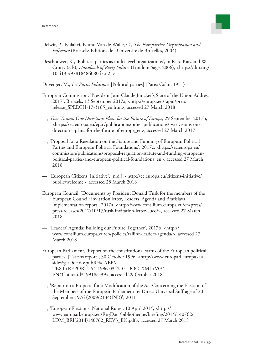

- Delwit, P., Külahci, E. and Van de Walle, C., *The Europarties: Organization and Influence* (Brussels: Editions de l'Université de Bruxelles, 2004)
- Deschouwer, K., 'Political parties as multi-level organizations', in R. S. Katz and W. Crotty (eds), *Handbook of Party Politics* (London: Sage, 2006), [<https://doi.org/](https://doi.org/10.4135/9781848608047.n25) [10.4135/9781848608047.n25](https://doi.org/10.4135/9781848608047.n25)>
- Duverger, M., *Les Partis Politiques* [Political parties] (Paris: Colin, 1951)
- European Commission, 'President Jean-Claude Juncker's State of the Union Address 2017', Brussels, 13 September 2017a, <[http://europa.eu/rapid/press](http://europa.eu/rapid/press-release_SPEECH-17-3165_en.htm)[release\\_SPEECH-17-3165\\_en.htm>](http://europa.eu/rapid/press-release_SPEECH-17-3165_en.htm), accessed 27 March 2018
- —, *Two Visions, One Direction: Plans for the Future of Europe*, 29 September 2017b, [<https://ec.europa.eu/epsc/publications/other-publications/two-visions-one](https://ec.europa.eu/epsc/publications/other-publications/two-visions-one-direction---plans-for-the-future-of-europe_en)[direction---plans-for-the-future-of-europe\\_en>](https://ec.europa.eu/epsc/publications/other-publications/two-visions-one-direction---plans-for-the-future-of-europe_en), accessed 27 March 2017
- —, 'Proposal for a Regulation on the Statute and Funding of European Political Parties and European Political Foundations', 2017c, <[https://ec.europa.eu/](https://ec.europa.eu/commission/publications/proposal-regulation-statute-and-funding-european-political-parties-and-european-political-foundations_en) [commission/publications/proposal-regulation-statute-and-funding-european](https://ec.europa.eu/commission/publications/proposal-regulation-statute-and-funding-european-political-parties-and-european-political-foundations_en)[political-parties-and-european-political-foundations\\_en>](https://ec.europa.eu/commission/publications/proposal-regulation-statute-and-funding-european-political-parties-and-european-political-foundations_en), accessed 27 March 2018
- —, 'European Citizens' Initiative', [n.d.], <[http://ec.europa.eu/citizens-initiative/](http://ec.europa.eu/citizens-initiative/public/welcome) [public/welcome>](http://ec.europa.eu/citizens-initiative/public/welcome), accessed 28 March 2018
- European Council, 'Documents by President Donald Tusk for the members of the European Council: invitation letter, Leaders' Agenda and Bratislava implementation report', 2017a, <[http://www.consilium.europa.eu/en/press/](http://www.consilium.europa.eu/en/press/press-releases/2017/10/17/tusk-invitation-letter-euco/) [press-releases/2017/10/17/tusk-invitation-letter-euco/](http://www.consilium.europa.eu/en/press/press-releases/2017/10/17/tusk-invitation-letter-euco/)>, accessed 27 March 2018
- —, 'Leaders' Agenda: Building our Future Together', 2017b, <[http://](http://www.consilium.europa.eu/en/policies/tallinn-leaders-agenda/) [www.consilium.europa.eu/en/policies/tallinn-leaders-agenda/>](http://www.consilium.europa.eu/en/policies/tallinn-leaders-agenda/), accessed 27 March 2018
- European Parliament, 'Report on the constitutional status of the European political parties' [Tsatsos report], 30 October 1996, <[http://www.europarl.europa.eu/](http://www.europarl.europa.eu/sides/getDoc.do?pubRef=-//EP//TEXT+REPORT+A4-1996-0342+0+DOC+XML+V0//EN#Contentd319918e339) [sides/getDoc.do?pubRef=-//EP//](http://www.europarl.europa.eu/sides/getDoc.do?pubRef=-//EP//TEXT+REPORT+A4-1996-0342+0+DOC+XML+V0//EN#Contentd319918e339) [TEXT+REPORT+A4-1996-0342+0+DOC+XML+V0//](http://www.europarl.europa.eu/sides/getDoc.do?pubRef=-//EP//TEXT+REPORT+A4-1996-0342+0+DOC+XML+V0//EN#Contentd319918e339) [EN#Contentd319918e339](http://www.europarl.europa.eu/sides/getDoc.do?pubRef=-//EP//TEXT+REPORT+A4-1996-0342+0+DOC+XML+V0//EN#Contentd319918e339)>, accessed 29 October 2018
- —, 'Report on a Proposal for a Modification of the Act Concerning the Election of the Members of the European Parliament by Direct Universal Suffrage of 20 September 1976 (2009/2134(INI))', 2011
- —, 'European Elections: National Rules', 10 April 2014, [<http://](http://www.europarl.europa.eu/RegData/bibliotheque/briefing/2014/140762/LDM_BRI(2014)140762_REV3_EN.pdf) [www.europarl.europa.eu/RegData/bibliotheque/briefing/2014/140762/](http://www.europarl.europa.eu/RegData/bibliotheque/briefing/2014/140762/LDM_BRI(2014)140762_REV3_EN.pdf) [LDM\\_BRI\(2014\)140762\\_REV3\\_EN.pdf>](http://www.europarl.europa.eu/RegData/bibliotheque/briefing/2014/140762/LDM_BRI(2014)140762_REV3_EN.pdf), accessed 27 March 2018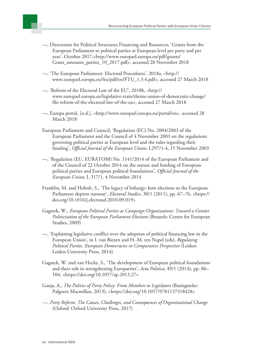

- —, Directorate for Political Structures Financing and Resources, 'Grants from the European Parliament to political parties at European level per party and per year', October 2017,<[http://www.europarl.europa.eu/pdf/grants/](http://www.europarl.europa.eu/pdf/grants/Grant_amounts_parties_10_2017.pdf) [Grant\\_amounts\\_parties\\_10\\_2017.pdf](http://www.europarl.europa.eu/pdf/grants/Grant_amounts_parties_10_2017.pdf)>, accessed 28 November 2018
- —, 'The European Parliament: Electoral Procedures', 2018a, <[http://](http://www.europarl.europa.eu/ftu/pdf/en/FTU_1.3.4.pdf) [www.europarl.europa.eu/ftu/pdf/en/FTU\\_1.3.4.pdf>](http://www.europarl.europa.eu/ftu/pdf/en/FTU_1.3.4.pdf), accessed 27 March 2018
- —, 'Reform of the Electoral Law of the EU', 2018b, <[http://](http://www.europarl.europa.eu/legislative-train/theme-union-of-democratic-change/file-reform-of-the-electoral-law-of-the-eu) [www.europarl.europa.eu/legislative-train/theme-union-of-democratic-change/](http://www.europarl.europa.eu/legislative-train/theme-union-of-democratic-change/file-reform-of-the-electoral-law-of-the-eu) [file-reform-of-the-electoral-law-of-the-eu>](http://www.europarl.europa.eu/legislative-train/theme-union-of-democratic-change/file-reform-of-the-electoral-law-of-the-eu), accessed 27 March 2018
- —, Europa portal, [n.d.], <<http://www.europarl.europa.eu/portal/en>>, accessed 28 March 2018
- European Parliament and Council, 'Regulation (EC) No. 2004/2003 of the European Parliament and the Council of 4 November 2003 on the regulations governing political parties at European level and the rules regarding their funding', *Official Journal of the European Union*, L297/1-4, 15 November 2003
- —, 'Regulation (EU, EURATOM) No. 1141/2014 of the European Parliament and of the Council of 22 October 2014 on the statute and funding of European political parties and European political foundations', *Official Journal of the European Union*, L 317/1, 4 November 2014
- Franklin, M. and Hobolt, S., 'The legacy of lethargy: how elections to the European Parliament depress turnout', *Electoral Studies*, 30/1 (2011), pp. 67–76, <[https://](https://doi.org/10.1016/j.electstud.2010.09.019) [doi.org/10.1016/j.electstud.2010.09.019](https://doi.org/10.1016/j.electstud.2010.09.019)>
- Gagatek, W., *European Political Parties as Campaign Organizations: Toward a Greater Politicisation of the European Parliament Elections* (Brussels: Centre for European Studies, 2009)
- —, 'Explaining legislative conflict over the adoption of political financing law in the European Union', in I. van Biezen and H.-M. ten Napel (eds), *Regulating Political Parties. European Democracies in Comparative Perspective* (Leiden: Leiden University Press, 2014)
- Gagatek, W. and van Hecke, S., 'The development of European political foundations and their role in strengthening Europarties', *Acta Politica*, 49/1 (2014), pp. 86– 104, [<https://doi.org/10.1057/ap.2013.27>](https://doi.org/10.1057/ap.2013.27)
- Gauja, A., *The Politics of Party Policy: From Members to Legislators* (Basingstoke: Palgrave Macmillan, 2013), <<https://doi.org/10.1057/9781137318428>>
- —, *Party Reform: The Causes, Challenges, and Consequences of Organizational Change* (Oxford: Oxford University Press, 2017)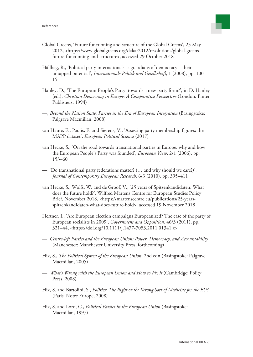

- Global Greens, 'Future functioning and structure of the Global Greens', 23 May 2012, [<https://www.globalgreens.org/dakar2012/resolutions/global-greens](https://www.globalgreens.org/dakar2012/resolutions/global-greens-future-functioning-and-structure)[future-functioning-and-structure>](https://www.globalgreens.org/dakar2012/resolutions/global-greens-future-functioning-and-structure), accessed 29 October 2018
- Hällhag, R., 'Political party internationals as guardians of democracy—their untapped potential', *Internationale Politik und Gesellschaft*, 1 (2008), pp. 100– 15
- Hanley, D., 'The European People's Party: towards a new party form?', in D. Hanley (ed.), *Christian Democracy in Europe: A Comparative Perspective* (London: Pinter Publishers, 1994)
- —, *Beyond the Nation State: Parties in the Era of European Integration* (Basingstoke: Palgrave Macmillan, 2008)
- van Haute, E., Paulis, E. and Sierens, V., 'Assessing party membership figures: the MAPP dataset', *European Political Science* (2017)
- van Hecke, S., 'On the road towards transnational parties in Europe: why and how the European People's Party was founded', *European View*, 2/1 (2006), pp. 153–60
- —, 'Do transnational party federations matter? (… and why should we care?)', *Journal of Contemporary European Research,* 6/3 (2010), pp. 395–411
- van Hecke, S., Wolfs, W. and de Groof, V., '25 years of Spitzenkandidaten: What does the future hold?', Wilfred Martens Centre for European Studies Policy Brief, November 2018, [<https://martenscentre.eu/publications/25-years](https://martenscentre.eu/publications/25-years-spitzenkandidaten-what-does-future-hold)[spitzenkandidaten-what-does-future-hold](https://martenscentre.eu/publications/25-years-spitzenkandidaten-what-does-future-hold)>, accessed 19 November 2018
- Hertner, I., 'Are European election campaigns Europeanized? The case of the party of European socialists in 2009', *Government and Opposition*, 46/3 (2011), pp. 321–44, <[https://doi.org/10.1111/j.1477-7053.2011.01341.x>](https://doi.org/10.1111/j.1477-7053.2011.01341.x)
- —, *Centre-left Parties and the European Union: Power, Democracy, and Accountability* (Manchester: Manchester University Press, forthcoming)
- Hix, S., *The Political System of the European Union*, 2nd edn (Basingstoke: Palgrave Macmillan, 2005)
- —, *What's Wrong with the European Union and How to Fix it* (Cambridge: Polity Press, 2008)
- Hix, S. and Bartolini, S., *Politics: The Right or the Wrong Sort of Medicine for the EU?* (Paris: Notre Europe, 2008)
- Hix, S. and Lord, C., *Political Parties in the European Union* (Basingstoke: Macmillan, 1997)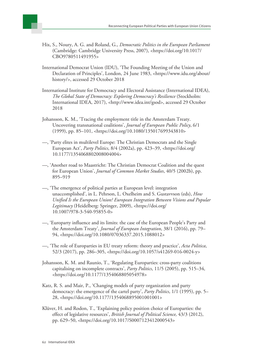

- Hix, S., Noury, A. G. and Roland, G., *Democratic Politics in the European Parliament* (Cambridge: Cambridge University Press, 2007), <[https://doi.org/10.1017/](https://doi.org/10.1017/CBO9780511491955) [CBO9780511491955](https://doi.org/10.1017/CBO9780511491955)>
- International Democrat Union (IDU), 'The Founding Meeting of the Union and Declaration of Principles', London, 24 June 1983, <[https://www.idu.org/about/](https://www.idu.org/about/history/) [history/](https://www.idu.org/about/history/)>, accessed 29 October 2018
- International Institute for Democracy and Electoral Assistance (International IDEA), *The Global State of Democracy: Exploring Democracy's Resilience* (Stockholm: International IDEA, 2017), <[http://www.idea.int/gsod>](http://www.idea.int/gsod), accessed 29 October 2018
- Johansson, K. M., 'Tracing the employment title in the Amsterdam Treaty. Uncovering transnational coalitions', *Journal of European Public Policy*, 6/1 (1999), pp. 85–101, <<https://doi.org/10.1080/135017699343810>>
- —, 'Party elites in multilevel Europe: The Christian Democrats and the Single European Act', *Party Politics*, 8/4 (2002a), pp. 423–39, <[https://doi.org/](https://doi.org/10.1177/1354068802008004004) [10.1177/1354068802008004004](https://doi.org/10.1177/1354068802008004004)>
- —, 'Another road to Maastricht: The Christian Democrat Coalition and the quest for European Union', *Journal of Common Market Studies*, 40/5 (2002b), pp. 895–919
- —, 'The emergence of political parties at European level: integration unaccomplished', in L. Pehrson, L. Oxelheim and S. Gustavvson (eds), *How Unified Is the European Union? European Integration Between Visions and Popular Legitimacy* (Heidelberg: Springer, 2009), <[https://doi.org/](https://doi.org/10.1007/978-3-540-95855-0) [10.1007/978-3-540-95855-0>](https://doi.org/10.1007/978-3-540-95855-0)
- —, 'Europarty influence and its limits: the case of the European People's Party and the Amsterdam Treaty', *Journal of European Integration*, 38/1 (2016), pp. 79– 94, [<https://doi.org/10.1080/07036337.2015.1088012>](https://doi.org/10.1080/07036337.2015.1088012)
- —, 'The role of Europarties in EU treaty reform: theory and practice', *Acta Politica*, 52/3 (2017), pp. 286–305, <<https://doi.org/10.1057/s41269-016-0024-y>>
- Johansson, K. M. and Raunio, T., 'Regulating Europarties: cross-party coalitions capitalising on incomplete contracts', *Party Politics*, 11/5 (2005), pp. 515–34, [<https://doi.org/10.1177/1354068805054978>](https://doi.org/10.1177/1354068805054978)
- Katz, R. S. and Mair, P., 'Changing models of party organization and party democracy: the emergence of the cartel party', *Party Politics*, 1/1 (1995), pp. 5– 28, [<https://doi.org/10.1177/1354068895001001001>](https://doi.org/10.1177/1354068895001001001)
- Klüver, H. and Rodon, T., 'Explaining policy position choice of Europarties: the effect of legislative resources', *British Journal of Political Science,* 43/3 (2012), pp. 629–50, <[https://doi.org/10.1017/S0007123412000543>](https://doi.org/10.1017/S0007123412000543)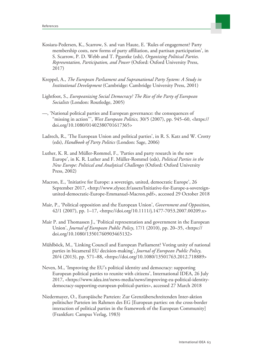

- Kosiara-Pedersen, K., Scarrow, S. and van Haute, E. 'Rules of engagement? Party membership costs, new forms of party affiliation, and partisan participation', in S. Scarrow, P. D. Webb and T. Pguntke (eds), *Organizing Political Parties. Representation, Participation, and Power* (Oxford: Oxford University Press, 2017)
- Kreppel, A., *The European Parliament and Supranational Party System: A Study in Institutional Development* (Cambridge: Cambridge University Press, 2001)
- Lightfoot, S., *Europeanizing Social Democracy? The Rise of the Party of European Socialists* (London: Routledge, 2005)
- —, 'National political parties and European governance: the consequences of "missing in action''', *West European Politics,* 30/5 (2007), pp. 945–60, <[https://](https://doi.org/10.1080/01402380701617365) [doi.org/10.1080/01402380701617365](https://doi.org/10.1080/01402380701617365)>
- Ladrech, R., 'The European Union and political parties', in R. S. Katz and W. Crotty (eds), *Handbook of Party Politics* (London: Sage, 2006)
- Luther, K. R. and Müller-Rommel, F., 'Parties and party research in the new Europe', in K. R. Luther and F. Müller-Rommel (eds), *Political Parties in the New Europe: Political and Analytical Challenges* (Oxford: Oxford University Press, 2002)
- Macron, E., 'Initiative for Europe: a sovereign, united, democratic Europe', 26 September 2017, <[http://www.elysee.fr/assets/Initiative-for-Europe-a-sovereign](http://www.elysee.fr/assets/Initiative-for-Europe-a-sovereign-united-democratic-Europe-Emmanuel-Macron.pdf)[united-democratic-Europe-Emmanuel-Macron.pdf](http://www.elysee.fr/assets/Initiative-for-Europe-a-sovereign-united-democratic-Europe-Emmanuel-Macron.pdf)>, accessed 29 October 2018
- Mair, P., 'Political opposition and the European Union', *Government and Opposition*, 42/1 (2007), pp. 1–17, <<https://doi.org/10.1111/j.1477-7053.2007.00209.x>>
- Mair P. and Thomassen J., 'Political representation and government in the European Union', *Journal of European Public Policy*, 17/1 (2010), pp. 20–35, <[https://](https://doi.org/10.1080/13501760903465132) [doi.org/10.1080/13501760903465132](https://doi.org/10.1080/13501760903465132)>
- Mühlböck, M., 'Linking Council and European Parliament? Voting unity of national parties in bicameral EU decision-making', *Journal of European Public Policy,* 20/4 (2013), pp. 571–88, <<https://doi.org/10.1080/13501763.2012.718889>>
- Neven, M., 'Improving the EU's political identity and democracy: supporting European political parties to reunite with citizens', International IDEA, 26 July 2017, [<https://www.idea.int/news-media/news/improving-eu-political-identity](https://www.idea.int/news-media/news/improving-eu-political-identity-democracy-supporting-european-political-parties)[democracy-supporting-european-political-parties](https://www.idea.int/news-media/news/improving-eu-political-identity-democracy-supporting-european-political-parties)>, accessed 27 March 2018
- Niedermayer, O., Europäische Parteien: Zur Grenzüberschreitenden Inter-aktion politischer Parteien im Rahmen des EG [European parties: on the cross-border interaction of political parties in the framework of the European Community] (Frankfurt: Campus Verlag, 1983)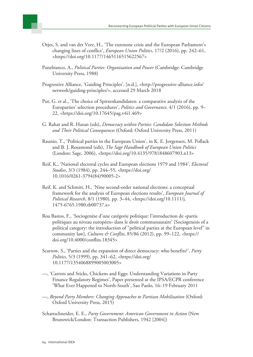- Otjes, S. and van der Veer, H., 'The eurozone crisis and the European Parliament's changing lines of conflict', *European Union Politics*, 17/2 (2016), pp. 242–61, [<https://doi.org/10.1177/1465116515622567>](https://doi.org/10.1177/1465116515622567)
- Panebianco, A., *Political Parties: Organization and Power* (Cambridge: Cambridge University Press, 1988)
- Progressive Alliance, 'Guiding Principles', [n.d.], <[http://progressive-alliance.info/](http://progressive-alliance.info/network/guiding-principles/) [network/guiding-principles/>](http://progressive-alliance.info/network/guiding-principles/), accessed 29 March 2018
- Put, G. et al., 'The choice of Spitzenkandidaten: a comparative analysis of the Europarties' selection procedures', *Politics and Governance,* 4/1 (2016), pp. 9– 22, [<https://doi.org/10.17645/pag.v4i1.469](https://doi.org/10.17645/pag.v4i1.469)>
- G. Rahat and R. Hazan (eds), *Democracy within Parties: Candidate Selection Methods and Their Political Consequences* (Oxford: Oxford University Press, 2011)
- Raunio, T., 'Political parties in the European Union', in K. E. Jorgensen, M. Pollack and B. J. Rosamond (eds), *The Sage Handbook of European Union Politics* (London: Sage, 2006), <<https://doi.org/10.4135/9781848607903.n13>>
- Reif, K., 'National electoral cycles and European elections 1979 and 1984', *Electoral Studies*, 3/3 (1984), pp. 244–55, <[https://doi.org/](https://doi.org/10.1016/0261-3794(84)90005-2) [10.1016/0261-3794\(84\)90005-2>](https://doi.org/10.1016/0261-3794(84)90005-2)
- Reif, K. and Schmitt, H., 'Nine second-order national elections: a conceptual framework for the analysis of European elections results', *European Journal of Political Research*, 8/1 (1980), pp. 3–44, <[https://doi.org/10.1111/j.](https://doi.org/10.1111/j.1475-6765.1980.tb00737.x) [1475-6765.1980.tb00737.x>](https://doi.org/10.1111/j.1475-6765.1980.tb00737.x)
- Roa Bastos, F., 'Sociogenèse d'une catégorie politique: l'introduction de «partis politiques au niveau européen» dans le droit communautaire' [Sociogenesis of a political category: the introduction of "political parties at the European level" in community law], *Cultures & Conflits*, 85/86 (2012), pp. 99–122, <[https://](https://doi.org/10.4000/conflits.18345) [doi.org/10.4000/conflits.18345](https://doi.org/10.4000/conflits.18345)>
- Scarrow, S., 'Parties and the expansion of direct democracy: who benefits?', *Party Politics*, 5/3 (1999), pp. 341–62, <[https://doi.org/](https://doi.org/10.1177/1354068899005003005) [10.1177/1354068899005003005](https://doi.org/10.1177/1354068899005003005)>
- —, 'Carrots and Sticks, Chickens and Eggs: Understanding Variations in Party Finance Regulatory Regimes', Paper presented at the IPSA/ECPR conference 'What Ever Happened to North-South', Sao Paolo, 16–19 February 2011
- —, *Beyond Party Members: Changing Approaches to Partisan Mobilization* (Oxford: Oxford University Press, 2015)
- Schattschneider, E. E., *Party Government: American Government in Action* (New Brunswick/London: Transaction Publishers, 1942 [2004])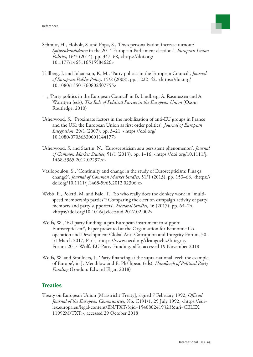

- Schmitt, H., Hobolt, S. and Popa, S., 'Does personalisation increase turnout? *Spitzenkandidaten* in the 2014 European Parliament elections', *European Union Politics*, 16/3 (2014), pp. 347–68, <[https://doi.org/](https://doi.org/10.1177/1465116515584626) [10.1177/1465116515584626](https://doi.org/10.1177/1465116515584626)>
- Tallberg, J. and Johansson, K. M., 'Party politics in the European Council', *Journal of European Public Policy,* 15/8 (2008), pp. 1222–42, <[https://doi.org/](https://doi.org/10.1080/13501760802407755) [10.1080/13501760802407755](https://doi.org/10.1080/13501760802407755)>
- —, 'Party politics in the European Council' in B. Lindberg, A. Rasmussen and A. Warntjen (eds), *The Role of Political Parties in the European Union* (Oxon: Routledge, 2010)
- Usherwood, S., 'Proximate factors in the mobilization of anti-EU groups in France and the UK: the European Union as first order politics', *Journal of European Integration*, 29/1 (2007), pp. 3–21, <[https://doi.org/](https://doi.org/10.1080/07036330601144177) [10.1080/07036330601144177](https://doi.org/10.1080/07036330601144177)>
- Usherwood, S. and Startin, N., 'Euroscepticism as a persistent phenomenon', *Journal of Common Market Studies*, 51/1 (2013), pp. 1–16, <[https://doi.org/10.1111/j.](https://doi.org/10.1111/j.1468-5965.2012.02297.x) [1468-5965.2012.02297.x](https://doi.org/10.1111/j.1468-5965.2012.02297.x)>
- Vasilopoulou, S., 'Continuity and change in the study of Euroscepticism: Plus ça change?', *Journal of Common Market Studies*, 51/1 (2013), pp. 153–68, <[https://](https://doi.org/10.1111/j.1468-5965.2012.02306.x) [doi.org/10.1111/j.1468-5965.2012.02306.x](https://doi.org/10.1111/j.1468-5965.2012.02306.x)>
- Webb, P., Poletti, M. and Bale, T., 'So who really does the donkey work in "multispeed membership parties"? Comparing the election campaign activity of party members and party supporters', *Electoral Studies*, 46 (2017), pp. 64–74, [<https://doi.org/10.1016/j.electstud.2017.02.002](https://doi.org/10.1016/j.electstud.2017.02.002)>
- Wolfs, W., 'EU party funding: a pro-European instrument to support Euroscepticism?', Paper presented at the Organisation for Economic Cooperation and Development Global Anti-Corruption and Integrity Forum, 30– 31 March 2017, Paris, [<https://www.oecd.org/cleangovbiz/Integrity-](https://www.oecd.org/cleangovbiz/Integrity-Forum-2017-Wolfs-EU-Party-Funding.pdf)[Forum-2017-Wolfs-EU-Party-Funding.pdf>](https://www.oecd.org/cleangovbiz/Integrity-Forum-2017-Wolfs-EU-Party-Funding.pdf), accessed 19 November 2018
- Wolfs, W. and Smulders, J., 'Party financing at the supra-national level: the example of Europe', in J. Mendilow and E. Phéllipeau (eds), *Handbook of Political Party Funding* (London: Edward Elgar, 2018)

#### **Treaties**

Treaty on European Union [Maastricht Treaty], signed 7 February 1992, *Official Journal of the European Communities*, No. C191/1, 29 July 1992, <[https://eur](https://eur-lex.europa.eu/legal-content/EN/TXT/?qid=1540802419323&uri=CELEX:11992M/TXT)[lex.europa.eu/legal-content/EN/TXT/?qid=1540802419323&uri=CELEX:](https://eur-lex.europa.eu/legal-content/EN/TXT/?qid=1540802419323&uri=CELEX:11992M/TXT) [11992M/TXT>](https://eur-lex.europa.eu/legal-content/EN/TXT/?qid=1540802419323&uri=CELEX:11992M/TXT), accessed 29 October 2018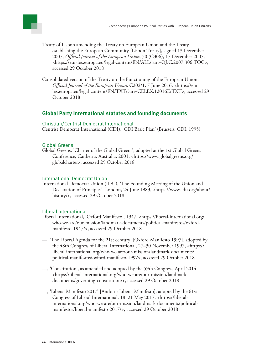

- Treaty of Lisbon amending the Treaty on European Union and the Treaty establishing the European Community [Lisbon Treaty], signed 13 December 2007, *Official Journal of the European Union*, 50 (C306), 17 December 2007, [<https://eur-lex.europa.eu/legal-content/EN/ALL/?uri=OJ:C:2007:306:TOC>](https://eur-lex.europa.eu/legal-content/EN/ALL/?uri=OJ:C:2007:306:TOC), accessed 29 October 2018
- Consolidated version of the Treaty on the Functioning of the European Union, *Official Journal of the European Union*, C202/1, 7 June 2016, [<https://eur](https://eur-lex.europa.eu/legal-content/EN/TXT/?uri=CELEX:12016E/TXT)[lex.europa.eu/legal-content/EN/TXT/?uri=CELEX:12016E/TXT>](https://eur-lex.europa.eu/legal-content/EN/TXT/?uri=CELEX:12016E/TXT), accessed 29 October 2018

#### **Global Party International statutes and founding documents**

#### Christian/Centrist Democrat International

Centrist Democrat International (CDI), 'CDI Basic Plan' (Brussels: CDI, 1995)

#### Global Greens

Global Greens, 'Charter of the Global Greens', adopted at the 1st Global Greens Conference, Canberra, Australia, 2001, [<https://www.globalgreens.org/](https://www.globalgreens.org/globalcharter) [globalcharter](https://www.globalgreens.org/globalcharter)>, accessed 29 October 2018

#### International Democrat Union

International Democrat Union (IDU), 'The Founding Meeting of the Union and Declaration of Principles', London, 24 June 1983, <[https://www.idu.org/about/](https://www.idu.org/about/history/) [history/](https://www.idu.org/about/history/)>, accessed 29 October 2018

#### Liberal International

- Liberal International, 'Oxford Manifesto', 1947, <[https://liberal-international.org/](https://liberal-international.org/who-we-are/our-mission/landmark-documents/political-manifestos/oxford-manifesto-1947/) [who-we-are/our-mission/landmark-documents/political-manifestos/oxford](https://liberal-international.org/who-we-are/our-mission/landmark-documents/political-manifestos/oxford-manifesto-1947/)[manifesto-1947/](https://liberal-international.org/who-we-are/our-mission/landmark-documents/political-manifestos/oxford-manifesto-1947/)>, accessed 29 October 2018
- —, 'The Liberal Agenda for the 21st century' [Oxford Manifesto 1997], adopted by the 48th Congress of Liberal International, 27–30 November 1997, <[https://](https://liberal-international.org/who-we-are/our-mission/landmark-documents/political-manifestos/oxford-manifesto-1997) [liberal-international.org/who-we-are/our-mission/landmark-documents/](https://liberal-international.org/who-we-are/our-mission/landmark-documents/political-manifestos/oxford-manifesto-1997) [political-manifestos/oxford-manifesto-1997>](https://liberal-international.org/who-we-are/our-mission/landmark-documents/political-manifestos/oxford-manifesto-1997), accessed 29 October 2018
- —, 'Constitution', as amended and adopted by the 59th Congress, April 2014, [<https://liberal-international.org/who-we-are/our-mission/landmark](https://liberal-international.org/who-we-are/our-mission/landmark-documents/governing-constitution/)[documents/governing-constitution/](https://liberal-international.org/who-we-are/our-mission/landmark-documents/governing-constitution/)>, accessed 29 October 2018
- —, 'Liberal Manifesto 2017' [Andorra Liberal Manifesto], adopted by the 61st Congress of Liberal International, 18–21 May 2017, <[https://liberal](https://liberal-international.org/who-we-are/our-mission/landmark-documents/political-manifestos/liberal-manifesto-2017/)[international.org/who-we-are/our-mission/landmark-documents/political](https://liberal-international.org/who-we-are/our-mission/landmark-documents/political-manifestos/liberal-manifesto-2017/)[manifestos/liberal-manifesto-2017/>](https://liberal-international.org/who-we-are/our-mission/landmark-documents/political-manifestos/liberal-manifesto-2017/), accessed 29 October 2018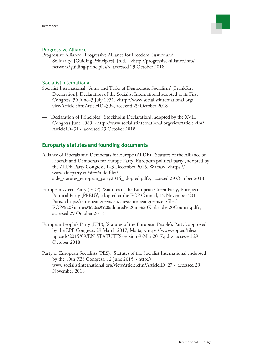

#### Progressive Alliance

Progressive Alliance, 'Progressive Alliance for Freedom, Justice and Solidarity' [Guiding Principles], [n.d.], <[http://progressive-alliance.info/](http://progressive-alliance.info/network/guiding-principles/) [network/guiding-principles/>](http://progressive-alliance.info/network/guiding-principles/), accessed 29 October 2018

#### Socialist International

- Socialist International, 'Aims and Tasks of Democratic Socialism' [Frankfurt Declaration], Declaration of the Socialist International adopted at its First Congress, 30 June–3 July 1951, <[http://www.socialistinternational.org/](http://www.socialistinternational.org/viewArticle.cfm?ArticleID=39) [viewArticle.cfm?ArticleID=39>](http://www.socialistinternational.org/viewArticle.cfm?ArticleID=39), accessed 29 October 2018
- —, 'Declaration of Principles' [Stockholm Declaration], adopted by the XVIII Congress June 1989, <[http://www.socialistinternational.org/viewArticle.cfm?](http://www.socialistinternational.org/viewArticle.cfm?ArticleID=31) [ArticleID=31](http://www.socialistinternational.org/viewArticle.cfm?ArticleID=31)>, accessed 29 October 2018

#### **Europarty statutes and founding documents**

- Alliance of Liberals and Democrats for Europe (ALDE), 'Statutes of the Alliance of Liberals and Democrats for Europe Party, European political party', adopted by the ALDE Party Congress, 1–3 December 2016, Warsaw, <[https://](https://www.aldeparty.eu/sites/alde/files/alde_statutes_european_party2016_adopted.pdf) [www.aldeparty.eu/sites/alde/files/](https://www.aldeparty.eu/sites/alde/files/alde_statutes_european_party2016_adopted.pdf) [alde\\_statutes\\_european\\_party2016\\_adopted.pdf](https://www.aldeparty.eu/sites/alde/files/alde_statutes_european_party2016_adopted.pdf)>, accessed 29 October 2018
- European Green Party (EGP), 'Statutes of the European Green Party, European Political Party (PPEU)', adopted at the EGP Council, 12 November 2011, Paris, <[https://europeangreens.eu/sites/europeangreens.eu/files/](https://europeangreens.eu/sites/europeangreens.eu/files/EGP%20Statutes%20as%20adopted%20in%20Karlstad%20Council.pdf) [EGP%20Statutes%20as%20adopted%20in%20Karlstad%20Council.pdf](https://europeangreens.eu/sites/europeangreens.eu/files/EGP%20Statutes%20as%20adopted%20in%20Karlstad%20Council.pdf)>, accessed 29 October 2018
- European People's Party (EPP), 'Statutes of the European People's Party', approved by the EPP Congress, 29 March 2017, Malta, <[https://www.epp.eu/files/](https://www.epp.eu/files/uploads/2015/09/EN-STATUTES-version-9-Mai-2017.pdf) [uploads/2015/09/EN-STATUTES-version-9-Mai-2017.pdf>](https://www.epp.eu/files/uploads/2015/09/EN-STATUTES-version-9-Mai-2017.pdf), accessed 29 October 2018
- Party of European Socialists (PES), 'Statutes of the Socialist International', adopted by the 10th PES Congress, 12 June 2015, [<http://](http://www.socialistinternational.org/viewArticle.cfm?ArticleID=27) [www.socialistinternational.org/viewArticle.cfm?ArticleID=27](http://www.socialistinternational.org/viewArticle.cfm?ArticleID=27)>, accessed 29 November 2018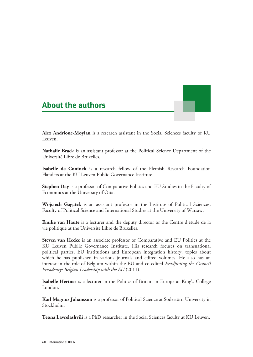### <span id="page-67-0"></span>**About the authors**

**Alex Andrione-Moylan** is a research assistant in the Social Sciences faculty of KU Leuven.

**Nathalie Brack** is an assistant professor at the Political Science Department of the Université Libre de Bruxelles.

**Isabelle de Coninck** is a research fellow of the Flemish Research Foundation Flanders at the KU Leuven Public Governance Institute.

**Stephen Day** is a professor of Comparative Politics and EU Studies in the Faculty of Economics at the University of Oita.

**Wojciech Gagatek** is an assistant professor in the Institute of Political Sciences, Faculty of Political Science and International Studies at the University of Warsaw.

**Emilie van Haute** is a lecturer and the deputy director or the Centre d'étude de la vie politique at the Université Libre de Bruxelles.

**Steven van Hecke** is an associate professor of Comparative and EU Politics at the KU Leuven Public Governance Institute. His research focuses on transnational political parties, EU institutions and European integration history, topics about which he has published in various journals and edited volumes. He also has an interest in the role of Belgium within the EU and co-edited *Readjusting the Council Presidency: Belgian Leadership with the EU* (2011).

**Isabelle Hertner** is a lecturer in the Politics of Britain in Europe at King's College London.

**Karl Magnus Johansson** is a professor of Political Science at Södertörn University in Stockholm.

**Teona Lavrelashvili** is a PhD researcher in the Social Sciences faculty at KU Leuven.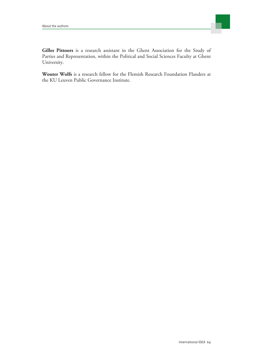

**Gilles Pittoors** is a research assistant in the Ghent Association for the Study of Parties and Representation, within the Political and Social Sciences Faculty at Ghent University.

**Wouter Wolfs** is a research fellow for the Flemish Research Foundation Flanders at the KU Leuven Public Governance Institute.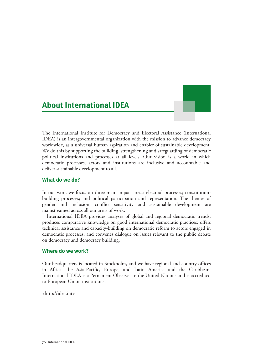### <span id="page-69-0"></span>**About International IDEA**

The International Institute for Democracy and Electoral Assistance (International IDEA) is an intergovernmental organization with the mission to advance democracy worldwide, as a universal human aspiration and enabler of sustainable development. We do this by supporting the building, strengthening and safeguarding of democratic political institutions and processes at all levels. Our vision is a world in which democratic processes, actors and institutions are inclusive and accountable and deliver sustainable development to all.

#### **What do we do?**

In our work we focus on three main impact areas: electoral processes; constitutionbuilding processes; and political participation and representation. The themes of gender and inclusion, conflict sensitivity and sustainable development are mainstreamed across all our areas of work.

International IDEA provides analyses of global and regional democratic trends; produces comparative knowledge on good international democratic practices; offers technical assistance and capacity-building on democratic reform to actors engaged in democratic processes; and convenes dialogue on issues relevant to the public debate on democracy and democracy building.

#### **Where do we work?**

Our headquarters is located in Stockholm, and we have regional and country offices in Africa, the Asia-Pacific, Europe, and Latin America and the Caribbean. International IDEA is a Permanent Observer to the United Nations and is accredited to European Union institutions.

<http://idea.int>